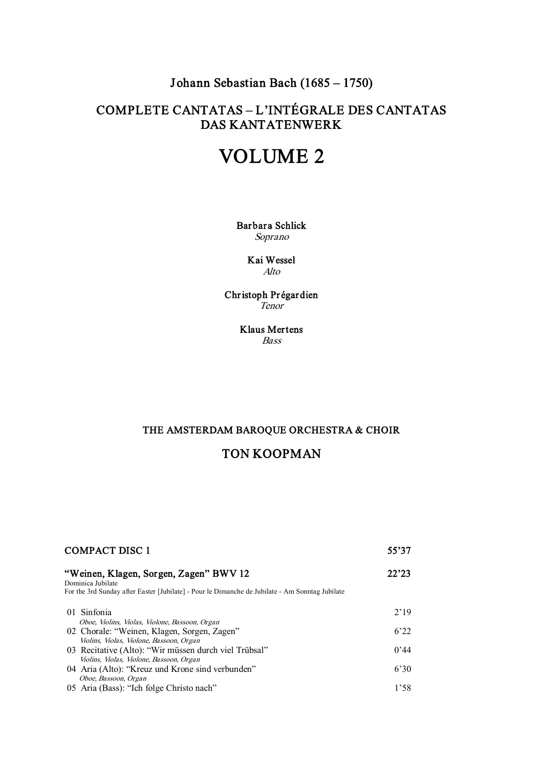# Johann Sebastian Bach (1685 – 1750)

# COMPLETE CANTATAS – L'INTÉGRALE DES CANTATAS DAS KANTATENWERK

# VOLUME 2

Barbara Schlick Soprano

> Kai Wessel Alto

Christoph Pr égardien Tenor

> Klaus Mertens Bass

## THE AMSTERDAM BAROQUE ORCHESTRA & CHOIR

# TON KOOPMAN

| <b>COMPACT DISC 1</b>                                                                                                                                                   |      |
|-------------------------------------------------------------------------------------------------------------------------------------------------------------------------|------|
| "Weinen, Klagen, Sorgen, Zagen" BWV 12<br>22'23<br>Dominica Jubilate<br>For the 3rd Sunday after Easter [Jubilate] - Pour le Dimanche de Jubilate - Am Sonntag Jubilate |      |
| 01 Sinfonia                                                                                                                                                             | 2'19 |
| Oboe, Violins, Violas, Violone, Bassoon, Organ<br>02 Chorale: "Weinen, Klagen, Sorgen, Zagen"                                                                           | 6'22 |
| Violins, Violas, Violone, Bassoon, Organ<br>03 Recitative (Alto): "Wir müssen durch viel Trübsal"<br>Violins, Violas, Violone, Bassoon, Organ                           | 0'44 |
| 04 Aria (Alto): "Kreuz und Krone sind verbunden"                                                                                                                        | 6'30 |
| Oboe, Bassoon, Organ<br>05 Aria (Bass): "Ich folge Christo nach"                                                                                                        | 1'58 |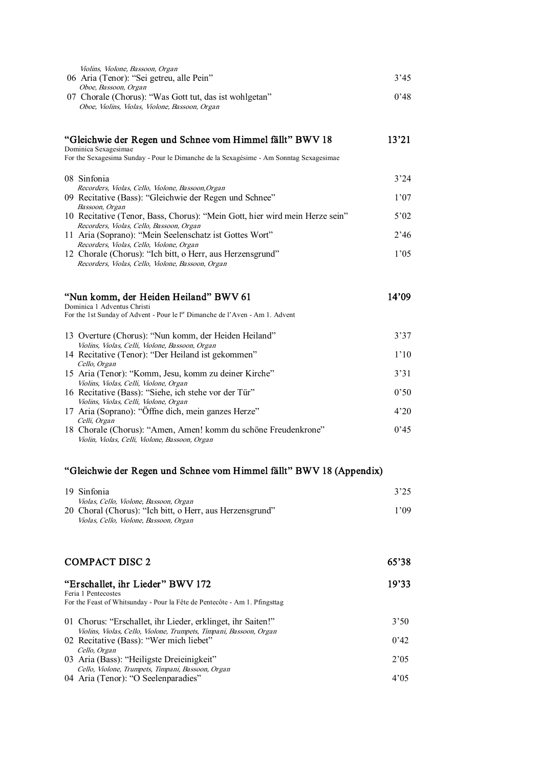| Violins, Violone, Bassoon, Organ                                                                        |       |
|---------------------------------------------------------------------------------------------------------|-------|
| 06 Aria (Tenor): "Sei getreu, alle Pein"                                                                | 3'45  |
| Oboe, Bassoon, Organ                                                                                    |       |
| 07 Chorale (Chorus): "Was Gott tut, das ist wohlgetan"                                                  | 0'48  |
| Oboe, Violins, Violas, Violone, Bassoon, Organ                                                          |       |
|                                                                                                         |       |
|                                                                                                         |       |
| "Gleichwie der Regen und Schnee vom Himmel fällt" BWV 18                                                | 13'21 |
| Dominica Sexagesimae                                                                                    |       |
| For the Sexagesima Sunday - Pour le Dimanche de la Sexagésime - Am Sonntag Sexagesimae                  |       |
| 08 Sinfonia                                                                                             | 3'24  |
| Recorders, Violas, Cello, Violone, Bassoon, Organ                                                       |       |
| 09 Recitative (Bass): "Gleichwie der Regen und Schnee"                                                  | 1'07  |
| Bassoon, Organ                                                                                          |       |
| 10 Recitative (Tenor, Bass, Chorus): "Mein Gott, hier wird mein Herze sein"                             | 5'02  |
| Recorders, Violas, Cello, Bassoon, Organ                                                                |       |
| 11 Aria (Soprano): "Mein Seelenschatz ist Gottes Wort"                                                  | 2'46  |
| Recorders, Violas, Cello, Violone, Organ<br>12 Chorale (Chorus): "Ich bitt, o Herr, aus Herzensgrund"   | 1'05  |
| Recorders, Violas, Cello, Violone, Bassoon, Organ                                                       |       |
|                                                                                                         |       |
|                                                                                                         |       |
| "Nun komm, der Heiden Heiland" BWV 61                                                                   | 14'09 |
| Dominica 1 Adventus Christi                                                                             |       |
| For the 1st Sunday of Advent - Pour le l <sup>er</sup> Dimanche de l'Aven - Am 1. Advent                |       |
|                                                                                                         |       |
| 13 Overture (Chorus): "Nun komm, der Heiden Heiland"<br>Violins, Violas, Celli, Violone, Bassoon, Organ | 3'37  |
| 14 Recitative (Tenor): "Der Heiland ist gekommen"                                                       | 1'10  |
| Cello, Organ                                                                                            |       |
| 15 Aria (Tenor): "Komm, Jesu, komm zu deiner Kirche"                                                    | 3'31  |
| Violins, Violas, Celli, Violone, Organ                                                                  |       |
| 16 Recitative (Bass): "Siehe, ich stehe vor der Tür"                                                    | 0'50  |
| Violins, Violas, Celli, Violone, Organ                                                                  |       |
| 17 Aria (Soprano): "Öffne dich, mein ganzes Herze"                                                      | 4'20  |
| Celli, Organ<br>18 Chorale (Chorus): "Amen, Amen! komm du schöne Freudenkrone"                          | 0'45  |
| Violin, Violas, Celli, Violone, Bassoon, Organ                                                          |       |
|                                                                                                         |       |

## "Gleichwie der Regen und Schnee vom Himmel fällt" BWV 18 (Appendix)

| 19 Sinfonia                                                                                        | 3'25 |
|----------------------------------------------------------------------------------------------------|------|
| Violas, Cello, Violone, Bassoon, Organ<br>20 Choral (Chorus): "Ich bitt, o Herr, aus Herzensgrund" | 1'09 |
| Violas, Cello, Violone, Bassoon, Organ                                                             |      |
|                                                                                                    |      |

## $COMPACT DISC 2$  65'38

#### "Erschallet, ihr Lieder" BWV 172 19'33 Feria 1 Pentecostes For the Feast of Whitsunday - Pour la Fête de Pentecôte - Am 1. Pfingsttag 01 Chorus: "Erschallet, ihr Lieder, erklinget, ihr Saiten!" 3'50 Violins, Violas, Cello, Violone, Trumpets, Timpani, Bassoon, Organ 02 Recitative (Bass): "Wer mich liebet" 0'42 Cello, Organ 03 Aria (Bass): "Heiligste Dreieinigkeit" 2'05 Cello, Violone, Trumpets, Timpani, Bassoon, Organ 04 Aria (Tenor): "O Seelenparadies" 4'05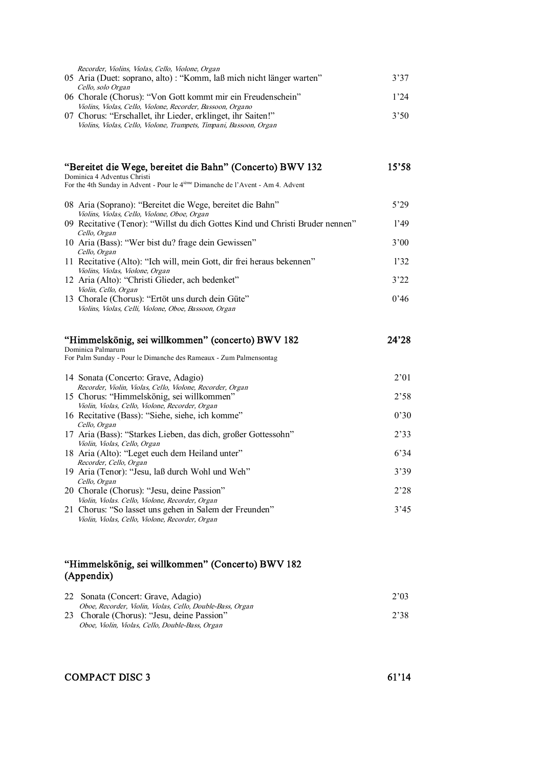| Recorder, Violins, Violas, Cello, Violone, Organ                    |      |
|---------------------------------------------------------------------|------|
| 05 Aria (Duet: soprano, alto): "Komm, laß mich nicht länger warten" | 3'37 |
| Cello, solo Organ                                                   |      |
| 06 Chorale (Chorus): "Von Gott kommt mir ein Freudenschein"         | 1'24 |
| Violins, Violas, Cello, Violone, Recorder, Bassoon, Organo          |      |
| 07 Chorus: "Erschallet, ihr Lieder, erklinget, ihr Saiten!"         | 3'50 |
| Violins, Violas, Cello, Violone, Trumpets, Timpani, Bassoon, Organ  |      |
|                                                                     |      |

## "Bereitet die Wege, bereitet die Bahn" (Concerto) BWV 132 15'58

Dominica 4 Adventus Christi For the 4th Sunday in Advent - Pour le 4<sup>ième</sup> Dimanche de l'Avent - Am 4. Advent

| 08 Aria (Soprano): "Bereitet die Wege, bereitet die Bahn"<br>Violins, Violas, Cello, Violone, Oboe, Organ | 5'29 |
|-----------------------------------------------------------------------------------------------------------|------|
| 09 Recitative (Tenor): "Willst du dich Gottes Kind und Christi Bruder nennen"                             | 1'49 |
| Cello, Organ<br>10 Aria (Bass): "Wer bist du? frage dein Gewissen"                                        | 3'00 |
| Cello, Organ<br>11 Recitative (Alto): "Ich will, mein Gott, dir frei heraus bekennen"                     | 1'32 |
| Violins, Violas, Violone, Organ<br>12 Aria (Alto): "Christi Glieder, ach bedenket"                        | 3'22 |
| Violin, Cello, Organ                                                                                      | 0'46 |
| 13 Chorale (Chorus): "Ertöt uns durch dein Güte"<br>Violins, Violas, Celli, Violone, Oboe, Bassoon, Organ |      |

### "Himmelskönig, sei willkommen" (concerto) BWV 182 24'28 Dominica Palmarum

For Palm Sunday - Pour le Dimanche des Rameaux - Zum Palmensontag

| 14 Sonata (Concerto: Grave, Adagio)                           | 2'01 |
|---------------------------------------------------------------|------|
| Recorder, Violin, Violas, Cello, Violone, Recorder, Organ     |      |
| 15 Chorus: "Himmelskönig, sei willkommen"                     | 2'58 |
| Violin, Violas, Cello, Violone, Recorder, Organ               |      |
| 16 Recitative (Bass): "Siehe, siehe, ich komme"               | 0'30 |
| Cello, Organ                                                  |      |
| 17 Aria (Bass): "Starkes Lieben, das dich, großer Gottessohn" | 2'33 |
| Violin, Violas, Cello, Organ                                  |      |
| 18 Aria (Alto): "Leget euch dem Heiland unter"                | 6'34 |
| Recorder, Cello, Organ                                        |      |
| 19 Aria (Tenor): "Jesu, laß durch Wohl und Weh"               | 3'39 |
| Cello, Organ                                                  |      |
| 20 Chorale (Chorus): "Jesu, deine Passion"                    | 2'28 |
| Violin, Violas. Cello, Violone, Recorder, Organ               |      |
| 21 Chorus: "So lasset uns gehen in Salem der Freunden"        | 3'45 |
| Violin, Violas, Cello, Violone, Recorder, Organ               |      |

## "Himmelskönig, sei willkommen" (Concerto) BWV 182 (Appendix)

| 22 Sonata (Concert: Grave, Adagio)                                                                                                                         | 2'03 |
|------------------------------------------------------------------------------------------------------------------------------------------------------------|------|
| Oboe, Recorder, Violin, Violas, Cello, Double-Bass, Organ<br>23 Chorale (Chorus): "Jesu, deine Passion"<br>Oboe, Violin, Violas, Cello, Double-Bass, Organ | 2'38 |

## COMPACT DISC 3 61'14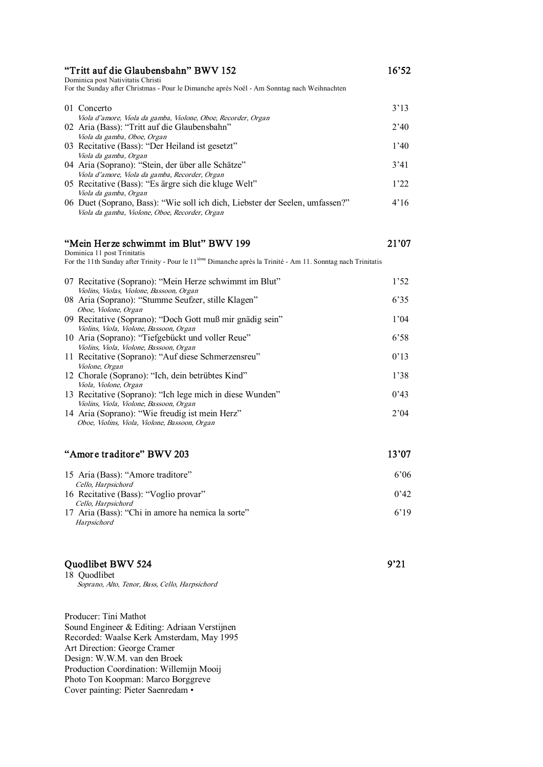| "Tritt auf die Glaubensbahn" BWV 152<br>Dominica post Nativitatis Christi<br>For the Sunday after Christmas - Pour le Dimanche après Noël - Am Sonntag nach Weihnachten |      |
|-------------------------------------------------------------------------------------------------------------------------------------------------------------------------|------|
| 01 Concerto                                                                                                                                                             | 3'13 |
| Viola d'amore, Viola da gamba, Violone, Oboe, Recorder, Organ                                                                                                           |      |
| 02 Aria (Bass): "Tritt auf die Glaubensbahn"                                                                                                                            | 2'40 |
| Viola da gamba, Oboe, Organ                                                                                                                                             |      |
| 03 Recitative (Bass): "Der Heiland ist gesetzt"                                                                                                                         | 1'40 |
| Viola da gamba, Organ                                                                                                                                                   |      |
| 04 Aria (Soprano): "Stein, der über alle Schätze"                                                                                                                       | 3'41 |
| Viola d'amore, Viola da gamba, Recorder, Organ                                                                                                                          |      |
| 05 Recitative (Bass): "Es ärgre sich die kluge Welt"                                                                                                                    | 1'22 |
| Viola da gamba, Organ                                                                                                                                                   |      |
| 06 Duet (Soprano, Bass): "Wie soll ich dich, Liebster der Seelen, umfassen?"                                                                                            | 4'16 |
| Viola da gamba, Violone, Oboe, Recorder, Organ                                                                                                                          |      |

## "Mein Herze schwimmt im Blut" BWV 199 21'07

Dominica 11 post Trinitatis

For the 11th Sunday after Trinity - Pour le 11<sup>ième</sup> Dimanche après la Trinité - Am 11. Sonntag nach Trinitatis

| 07 Recitative (Soprano): "Mein Herze schwimmt im Blut"   | 1'52 |
|----------------------------------------------------------|------|
| Violins, Violas, Violone, Bassoon, Organ                 |      |
| 08 Aria (Soprano): "Stumme Seufzer, stille Klagen"       | 6'35 |
| Oboe, Violone, Organ                                     |      |
| 09 Recitative (Soprano): "Doch Gott muß mir gnädig sein" | 1'04 |
| Violins, Viola, Violone, Bassoon, Organ                  |      |
| 10 Aria (Soprano): "Tiefgebückt und voller Reue"         | 6'58 |
| Violins, Viola, Violone, Bassoon, Organ                  |      |
| 11 Recitative (Soprano): "Auf diese Schmerzensreu"       | 0'13 |
| Violone, Organ                                           |      |
| 12 Chorale (Soprano): "Ich, dein betrübtes Kind"         | 1'38 |
| Viola, Violone, Organ                                    |      |
| 13 Recitative (Soprano): "Ich lege mich in diese Wunden" | 0'43 |
| Violins, Viola, Violone, Bassoon, Organ                  |      |
| 14 Aria (Soprano): "Wie freudig ist mein Herz"           | 2'04 |
| Oboe, Violins, Viola, Violone, Bassoon, Organ            |      |

## "Amore traditore" BWV 203 13'07

| 15 Aria (Bass): "Amore traditore"                 | 6'06 |
|---------------------------------------------------|------|
| Cello, Harpsichord                                |      |
| 16 Recitative (Bass): "Voglio provar"             | 0'42 |
| Cello. Harpsichord                                |      |
| 17 Aria (Bass): "Chi in amore ha nemica la sorte" | 6'19 |
| Harpsichord                                       |      |

## Quodlibet BWV 524 9'21

18 Quodlibet Soprano, Alto, Tenor, Bass, Cello, Harpsichord

Producer: Tini Mathot Sound Engineer & Editing: Adriaan Verstijnen Recorded: Waalse Kerk Amsterdam, May 1995 Art Direction: George Cramer Design: W.W.M. van den Broek Production Coordination: Willemijn Mooij Photo Ton Koopman: Marco Borggreve Cover painting: Pieter Saenredam •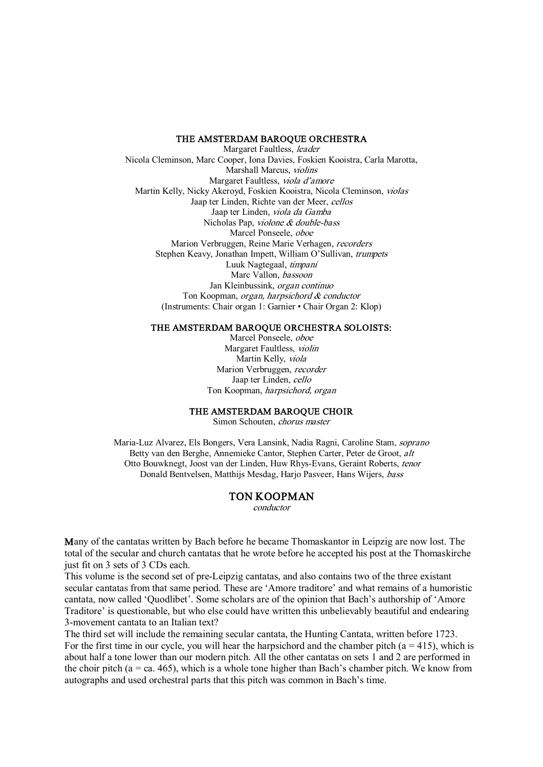#### THE AMSTERDAM BAROQUE ORCHESTRA

Margaret Faultless, leader Nicola Cleminson, Marc Cooper, Iona Davies, Foskien Kooistra, Carla Marotta, Marshall Marcus, violins Margaret Faultless, viola d'amore Martin Kelly, Nicky Akeroyd, Foskien Kooistra, Nicola Cleminson, violas Jaap ter Linden, Richte van der Meer, cellos Jaap ter Linden, viola da Gamba Nicholas Pap, violone & double-bass Marcel Ponseele, oboe Marion Verbruggen, Reine Marie Verhagen, recorders Stephen Keavy, Jonathan Impett, William O'Sullivan, trumpets Luuk Nagtegaal, timpani Marc Vallon, bassoon Jan Kleinbussink, organ continuo Ton Koopman, organ, harpsichord & conductor (Instruments: Chair organ 1: Garnier • Chair Organ 2: Klop)

#### THE AMSTERDAM BAROQUE ORCHESTRA SOLOISTS:

Marcel Ponseele, oboe Margaret Faultless, violin Martin Kelly, viola Marion Verbruggen, recorder Jaap ter Linden, cello Ton Koopman, harpsichord, organ

#### THE AMSTERDAM BAROQUE CHOIR

Simon Schouten, chorus master

Maria-Luz Alvarez, Els Bongers, Vera Lansink, Nadia Ragni, Caroline Stam, soprano Betty van den Berghe, Annemieke Cantor, Stephen Carter, Peter de Groot, alt Otto Bouwknegt, Joost van der Linden, Huw Rhys-Evans, Geraint Roberts, tenor Donald Bentvelsen, Matthijs Mesdag, Harjo Pasveer, Hans Wijers, bass

#### TON KOOPMAN

conductor

Many of the cantatas written by Bach before he became Thomaskantor in Leipzig are now lost. The total of the secular and church cantatas that he wrote before he accepted his post at the Thomaskirche just fit on 3 sets of 3 CDs each.

This volume is the second set of preLeipzig cantatas, and also contains two of the three existant secular cantatas from that same period. These are 'Amore traditore' and what remains of a humoristic cantata, now called 'Quodlibet'. Some scholars are of the opinion that Bach's authorship of 'Amore Traditore' is questionable, but who else could have written this unbelievably beautiful and endearing 3-movement cantata to an Italian text?

The third set will include the remaining secular cantata, the Hunting Cantata, written before 1723. For the first time in our cycle, you will hear the harpsichord and the chamber pitch  $(a = 415)$ , which is about half a tone lower than our modern pitch. All the other cantatas on sets 1 and 2 are performed in the choir pitch ( $a = ca. 465$ ), which is a whole tone higher than Bach's chamber pitch. We know from autographs and used orchestral parts that this pitch was common in Bach's time.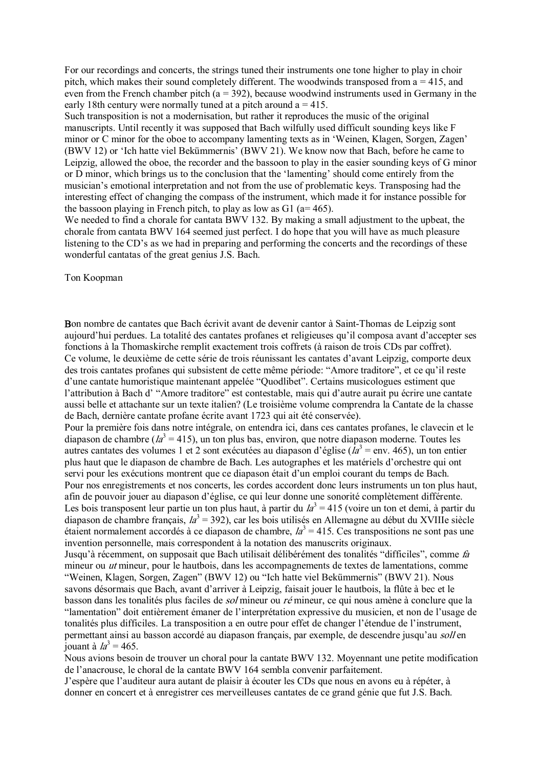For our recordings and concerts, the strings tuned their instruments one tone higher to play in choir pitch, which makes their sound completely different. The woodwinds transposed from a = 415, and even from the French chamber pitch  $(a = 392)$ , because woodwind instruments used in Germany in the early 18th century were normally tuned at a pitch around  $a = 415$ .

Such transposition is not a modernisation, but rather it reproduces the music of the original manuscripts. Until recently it was supposed that Bach wilfully used difficult sounding keys like F minor or C minor for the oboe to accompany lamenting texts as in 'Weinen, Klagen, Sorgen, Zagen' (BWV 12) or 'Ich hatte viel Bekümmernis' (BWV 21). We know now that Bach, before he came to Leipzig, allowed the oboe, the recorder and the bassoon to play in the easier sounding keys of G minor or D minor, which brings us to the conclusion that the 'lamenting' should come entirely from the musician's emotional interpretation and not from the use of problematic keys. Transposing had the interesting effect of changing the compass of the instrument, which made it for instance possible for the bassoon playing in French pitch, to play as low as  $G1$  ( $a=465$ ).

We needed to find a chorale for cantata BWV 132. By making a small adjustment to the upbeat, the chorale from cantata BWV 164 seemed just perfect. I do hope that you will have as much pleasure listening to the CD's as we had in preparing and performing the concerts and the recordings of these wonderful cantatas of the great genius J.S. Bach.

Ton Koopman

Bon nombre de cantates que Bach écrivit avant de devenir cantor à Saint-Thomas de Leipzig sont aujourd'hui perdues. La totalité des cantates profanes et religieuses qu'il composa avant d'accepter ses fonctions à la Thomaskirche remplit exactement trois coffrets (à raison de trois CDs par coffret). Ce volume, le deuxième de cette série de trois réunissant les cantates d'avant Leipzig, comporte deux des trois cantates profanes qui subsistent de cette même période: "Amore traditore", et ce qu'il reste d'une cantate humoristique maintenant appelée "Quodlibet". Certains musicologues estiment que l'attribution à Bach d' "Amore traditore" est contestable, mais qui d'autre aurait pu écrire une cantate aussi belle et attachante sur un texte italien? (Le troisième volume comprendra la Cantate de la chasse de Bach, dernière cantate profane écrite avant 1723 qui ait été conservée).

Pour la première fois dans notre intégrale, on entendra ici, dans ces cantates profanes, le clavecin et le diapason de chambre ( $la^3$  = 415), un ton plus bas, environ, que notre diapason moderne. Toutes les autres cantates des volumes 1 et 2 sont exécutées au diapason d'église ( $\overline{I}a^3$  = env. 465), un ton entier plus haut que le diapason de chambre de Bach. Les autographes et les matériels d'orchestre qui ont servi pour les exécutions montrent que ce diapason était d'un emploi courant du temps de Bach. Pour nos enregistrements et nos concerts, les cordes accordent donc leurs instruments un ton plus haut, afin de pouvoir jouer au diapason d'église, ce qui leur donne une sonorité complètement différente. Les bois transposent leur partie un ton plus haut, à partir du  $l_a^3$  = 415 (voire un ton et demi, à partir du diapason de chambre français,  $Ia^3 = 392$ ), car les bois utilisés en Allemagne au début du XVIIIe siècle étaient normalement accordés à ce diapason de chambre,  $Ia<sup>3</sup> = 415$ . Ces transpositions ne sont pas une invention personnelle, mais correspondent à la notation des manuscrits originaux.

Jusqu'à récemment, on supposait que Bach utilisait délibérément des tonalités "difficiles", comme fa mineur ou ut mineur, pour le hautbois, dans les accompagnements de textes de lamentations, comme "Weinen, Klagen, Sorgen, Zagen" (BWV 12) ou "Ich hatte viel Bekümmernis" (BWV 21). Nous savons désormais que Bach, avant d'arriver à Leipzig, faisait jouer le hautbois, la flûte à bec et le basson dans les tonalités plus faciles de sol mineur ou ré mineur, ce qui nous amène à conclure que la "lamentation" doit entièrement émaner de l'interprétation expressive du musicien, et non de l'usage de tonalités plus difficiles. La transposition a en outre pour effet de changer l'étendue de l'instrument, permettant ainsi au basson accordé au diapason français, par exemple, de descendre jusqu'au soll en jouant à  $la^3 = 465$ .

Nous avions besoin de trouver un choral pour la cantate BWV 132. Moyennant une petite modification de l'anacrouse, le choral de la cantate BWV 164 sembla convenir parfaitement.

J'espère que l'auditeur aura autant de plaisir à écouter les CDs que nous en avons eu à répéter, à donner en concert et à enregistrer ces merveilleuses cantates de ce grand génie que fut J.S. Bach.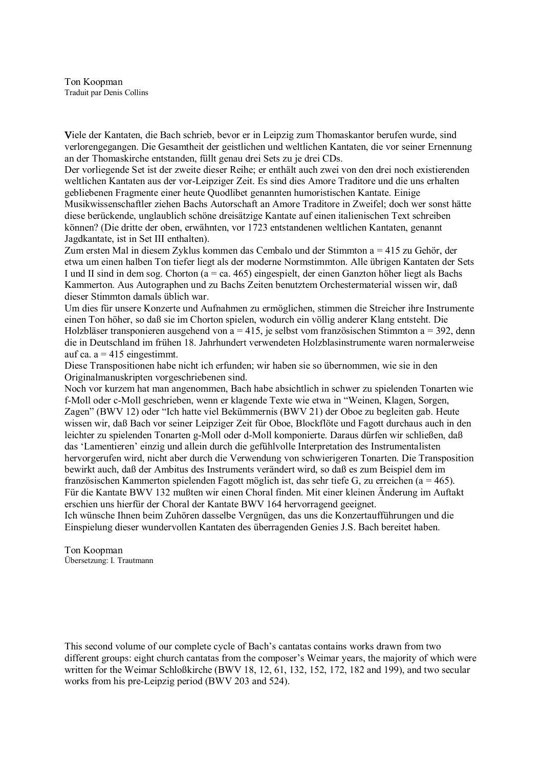Ton Koopman Traduit par Denis Collins

Viele der Kantaten, die Bach schrieb, bevor er in Leipzig zum Thomaskantor berufen wurde, sind verlorengegangen. Die Gesamtheit der geistlichen und weltlichen Kantaten, die vor seiner Ernennung an der Thomaskirche entstanden, füllt genau drei Sets zu je drei CDs.

Der vorliegende Set ist der zweite dieser Reihe; er enthält auch zwei von den drei noch existierenden weltlichen Kantaten aus der vorLeipziger Zeit. Es sind dies Amore Traditore und die uns erhalten gebliebenen Fragmente einer heute Quodlibet genannten humoristischen Kantate. Einige Musikwissenschaftler ziehen Bachs Autorschaft an Amore Traditore in Zweifel; doch wer sonst hätte diese berückende, unglaublich schöne dreisätzige Kantate auf einen italienischen Text schreiben können? (Die dritte der oben, erwähnten, vor 1723 entstandenen weltlichen Kantaten, genannt Jagdkantate, ist in Set III enthalten).

Zum ersten Mal in diesem Zyklus kommen das Cembalo und der Stimmton a = 415 zu Gehör, der etwa um einen halben Ton tiefer liegt als der moderne Normstimmton. Alle übrigen Kantaten der Sets I und II sind in dem sog. Chorton ( $a = ca$ . 465) eingespielt, der einen Ganzton höher liegt als Bachs Kammerton. Aus Autographen und zu Bachs Zeiten benutztem Orchestermaterial wissen wir, daß dieser Stimmton damals üblich war.

Um dies für unsere Konzerte und Aufnahmen zu ermöglichen, stimmen die Streicher ihre Instrumente einen Ton höher, so daß sie im Chorton spielen, wodurch ein völlig anderer Klang entsteht. Die Holzbläser transponieren ausgehend von a = 415, je selbst vom französischen Stimmton a = 392, denn die in Deutschland im frühen 18. Jahrhundert verwendeten Holzblasinstrumente waren normalerweise auf ca.  $a = 415$  eingestimmt.

Diese Transpositionen habe nicht ich erfunden; wir haben sie so übernommen, wie sie in den Originalmanuskripten vorgeschriebenen sind.

Noch vor kurzem hat man angenommen, Bach habe absichtlich in schwer zu spielenden Tonarten wie f-Moll oder c-Moll geschrieben, wenn er klagende Texte wie etwa in "Weinen, Klagen, Sorgen, Zagen" (BWV 12) oder "Ich hatte viel Bekümmernis (BWV 21) der Oboe zu begleiten gab. Heute wissen wir, daß Bach vor seiner Leipziger Zeit für Oboe, Blockflöte und Fagott durchaus auch in den leichter zu spielenden Tonarten g-Moll oder d-Moll komponierte. Daraus dürfen wir schließen, daß das 'Lamentieren' einzig und allein durch die gefühlvolle Interpretation des Instrumentalisten hervorgerufen wird, nicht aber durch die Verwendung von schwierigeren Tonarten. Die Transposition bewirkt auch, daß der Ambitus des Instruments verändert wird, so daß es zum Beispiel dem im französischen Kammerton spielenden Fagott möglich ist, das sehr tiefe G, zu erreichen (a = 465). Für die Kantate BWV 132 mußten wir einen Choral finden. Mit einer kleinen Änderung im Auftakt erschien uns hierfür der Choral der Kantate BWV 164 hervorragend geeignet.

Ich wünsche Ihnen beim Zuhören dasselbe Vergnügen, das uns die Konzertaufführungen und die Einspielung dieser wundervollen Kantaten des überragenden Genies J.S. Bach bereitet haben.

Ton Koopman Übersetzung: I. Trautmann

This second volume of our complete cycle of Bach's cantatas contains works drawn from two different groups: eight church cantatas from the composer's Weimar years, the majority of which were written for the Weimar Schloßkirche (BWV 18, 12, 61, 132, 152, 172, 182 and 199), and two secular works from his preLeipzig period (BWV 203 and 524).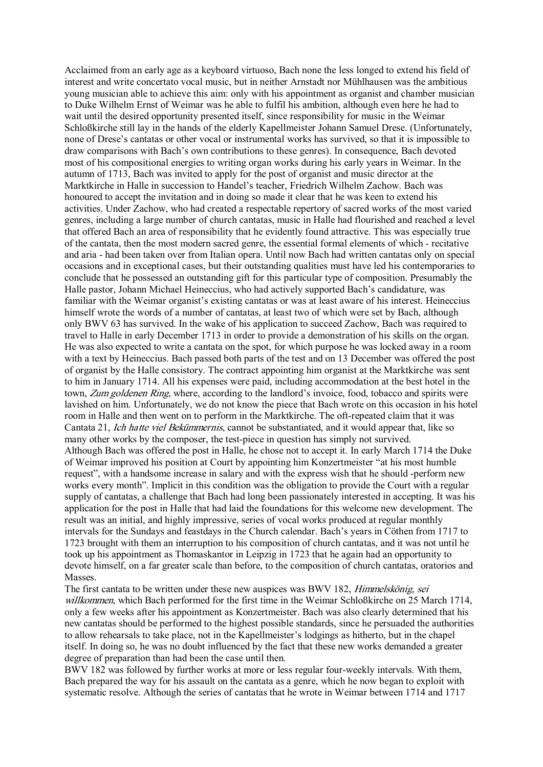Acclaimed from an early age as a keyboard virtuoso, Bach none the less longed to extend his field of interest and write concertato vocal music, but in neither Arnstadt nor Mühlhausen was the ambitious young musician able to achieve this aim: only with his appointment as organist and chamber musician to Duke Wilhelm Ernst of Weimar was he able to fulfil his ambition, although even here he had to wait until the desired opportunity presented itself, since responsibility for music in the Weimar Schloßkirche still lay in the hands of the elderly Kapellmeister Johann Samuel Drese. (Unfortunately, none of Drese's cantatas or other vocal or instrumental works has survived, so that it is impossible to draw comparisons with Bach's own contributions to these genres). In consequence, Bach devoted most of his compositional energies to writing organ works during his early years in Weimar. In the autumn of 1713, Bach was invited to apply for the post of organist and music director at the Marktkirche in Halle in succession to Handel's teacher, Friedrich Wilhelm Zachow. Bach was honoured to accept the invitation and in doing so made it clear that he was keen to extend his activities. Under Zachow, who had created a respectable repertory of sacred works of the most varied genres, including a large number of church cantatas, music in Halle had flourished and reached a level that offered Bach an area of responsibility that he evidently found attractive. This was especially true of the cantata, then the most modern sacred genre, the essential formal elements of which recitative and aria had been taken over from Italian opera. Until now Bach had written cantatas only on special occasions and in exceptional cases, but their outstanding qualities must have led his contemporaries to conclude that he possessed an outstanding gift for this particular type of composition. Presumably the Halle pastor, Johann Michael Heineccius, who had actively supported Bach's candidature, was familiar with the Weimar organist's existing cantatas or was at least aware of his interest. Heineccius himself wrote the words of a number of cantatas, at least two of which were set by Bach, although only BWV 63 has survived. In the wake of his application to succeed Zachow, Bach was required to travel to Halle in early December 1713 in order to provide a demonstration of his skills on the organ. He was also expected to write a cantata on the spot, for which purpose he was locked away in a room with a text by Heineccius. Bach passed both parts of the test and on 13 December was offered the post of organist by the Halle consistory. The contract appointing him organist at the Marktkirche was sent to him in January 1714. All his expenses were paid, including accommodation at the best hotel in the town, Zum goldenen Ring, where, according to the landlord's invoice, food, tobacco and spirits were lavished on him. Unfortunately, we do not know the piece that Bach wrote on this occasion in his hotel room in Halle and then went on to perform in the Marktkirche. The oft-repeated claim that it was Cantata 21, *Ich hatte viel Bekümmernis*, cannot be substantiated, and it would appear that, like so many other works by the composer, the test-piece in question has simply not survived. Although Bach was offered the post in Halle, he chose not to accept it. In early March 1714 the Duke of Weimar improved his position at Court by appointing him Konzertmeister "at his most humble request", with a handsome increase in salary and with the express wish that he should -perform new works every month". Implicit in this condition was the obligation to provide the Court with a regular supply of cantatas, a challenge that Bach had long been passionately interested in accepting. It was his application for the post in Halle that had laid the foundations for this welcome new development. The result was an initial, and highly impressive, series of vocal works produced at regular monthly intervals for the Sundays and feastdays in the Church calendar. Bach's years in Cöthen from 1717 to 1723 brought with them an interruption to his composition of church cantatas, and it was not until he took up his appointment as Thomaskantor in Leipzig in 1723 that he again had an opportunity to devote himself, on a far greater scale than before, to the composition of church cantatas, oratorios and Masses.

The first cantata to be written under these new auspices was BWV 182, Himmelskönig, sei willkommen, which Bach performed for the first time in the Weimar Schloßkirche on 25 March 1714, only a few weeks after his appointment as Konzertmeister. Bach was also clearly determined that his new cantatas should be performed to the highest possible standards, since he persuaded the authorities to allow rehearsals to take place, not in the Kapellmeister's lodgings as hitherto, but in the chapel itself. In doing so, he was no doubt influenced by the fact that these new works demanded a greater degree of preparation than had been the case until then.

BWV 182 was followed by further works at more or less regular four-weekly intervals. With them, Bach prepared the way for his assault on the cantata as a genre, which he now began to exploit with systematic resolve. Although the series of cantatas that he wrote in Weimar between 1714 and 1717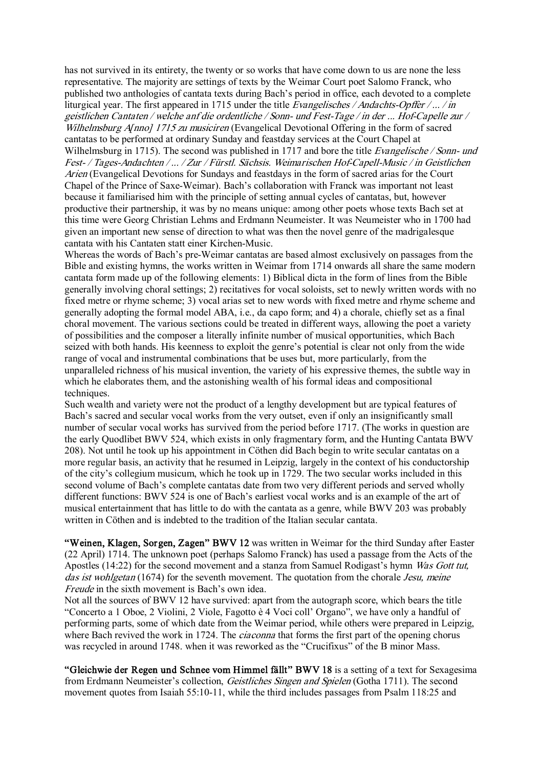has not survived in its entirety, the twenty or so works that have come down to us are none the less representative. The majority are settings of texts by the Weimar Court poet Salomo Franck, who published two anthologies of cantata texts during Bach's period in office, each devoted to a complete liturgical year. The first appeared in 1715 under the title Evangelisches / Andachts-Opffer / ... / in geistlichen Cantaten / welche anf die ordentliche / Sonn- und Fest-Tage / in der ... Hof-Capelle zur / Wilhelmsburg A[nno] 1715 zu musiciren (Evangelical Devotional Offering in the form of sacred cantatas to be performed at ordinary Sunday and feastday services at the Court Chapel at Wilhelmsburg in 1715). The second was published in 1717 and bore the title *Evangelische / Sonn- und* Fest- / Tages-Andachten / ... / Zur / Fürstl. Sächsis. Weimarischen Hof-Capell-Music / in Geistlichen Arien (Evangelical Devotions for Sundays and feastdays in the form of sacred arias for the Court Chapel of the Prince of SaxeWeimar). Bach's collaboration with Franck was important not least because it familiarised him with the principle of setting annual cycles of cantatas, but, however productive their partnership, it was by no means unique: among other poets whose texts Bach set at this time were Georg Christian Lehms and Erdmann Neumeister. It was Neumeister who in 1700 had given an important new sense of direction to what was then the novel genre of the madrigalesque cantata with his Cantaten statt einer Kirchen-Music.

Whereas the words of Bach's pre-Weimar cantatas are based almost exclusively on passages from the Bible and existing hymns, the works written in Weimar from 1714 onwards all share the same modern cantata form made up of the following elements: 1) Biblical dicta in the form of lines from the Bible generally involving choral settings; 2) recitatives for vocal soloists, set to newly written words with no fixed metre or rhyme scheme; 3) vocal arias set to new words with fixed metre and rhyme scheme and generally adopting the formal model ABA, i.e., da capo form; and 4) a chorale, chiefly set as a final choral movement. The various sections could be treated in different ways, allowing the poet a variety of possibilities and the composer a literally infinite number of musical opportunities, which Bach seized with both hands. His keenness to exploit the genre's potential is clear not only from the wide range of vocal and instrumental combinations that be uses but, more particularly, from the unparalleled richness of his musical invention, the variety of his expressive themes, the subtle way in which he elaborates them, and the astonishing wealth of his formal ideas and compositional techniques.

Such wealth and variety were not the product of a lengthy development but are typical features of Bach's sacred and secular vocal works from the very outset, even if only an insignificantly small number of secular vocal works has survived from the period before 1717. (The works in question are the early Quodlibet BWV 524, which exists in only fragmentary form, and the Hunting Cantata BWV 208). Not until he took up his appointment in Cöthen did Bach begin to write secular cantatas on a more regular basis, an activity that he resumed in Leipzig, largely in the context of his conductorship of the city's collegium musicum, which he took up in 1729. The two secular works included in this second volume of Bach's complete cantatas date from two very different periods and served wholly different functions: BWV 524 is one of Bach's earliest vocal works and is an example of the art of musical entertainment that has little to do with the cantata as a genre, while BWV 203 was probably written in Cöthen and is indebted to the tradition of the Italian secular cantata.

"Weinen, Klagen, Sorgen, Zagen" BWV 12 was written in Weimar for the third Sunday after Easter (22 April) 1714. The unknown poet (perhaps Salomo Franck) has used a passage from the Acts of the Apostles (14:22) for the second movement and a stanza from Samuel Rodigast's hymn Was Gott tut, das ist wohlgetan (1674) for the seventh movement. The quotation from the chorale Jesu, meine Freude in the sixth movement is Bach's own idea.

Not all the sources of BWV 12 have survived: apart from the autograph score, which bears the title "Concerto a 1 Oboe, 2 Violini, 2 Viole, Fagotto è 4 Voci coll' Organo", we have only a handful of performing parts, some of which date from the Weimar period, while others were prepared in Leipzig, where Bach revived the work in 1724. The *ciaconna* that forms the first part of the opening chorus was recycled in around 1748. when it was reworked as the "Crucifixus" of the B minor Mass.

"Gleichwie der Regen und Schnee vom Himmel fällt" BWV 18 is a setting of a text for Sexagesima from Erdmann Neumeister's collection, *Geistliches Singen and Spielen* (Gotha 1711). The second movement quotes from Isaiah 55:10-11, while the third includes passages from Psalm 118:25 and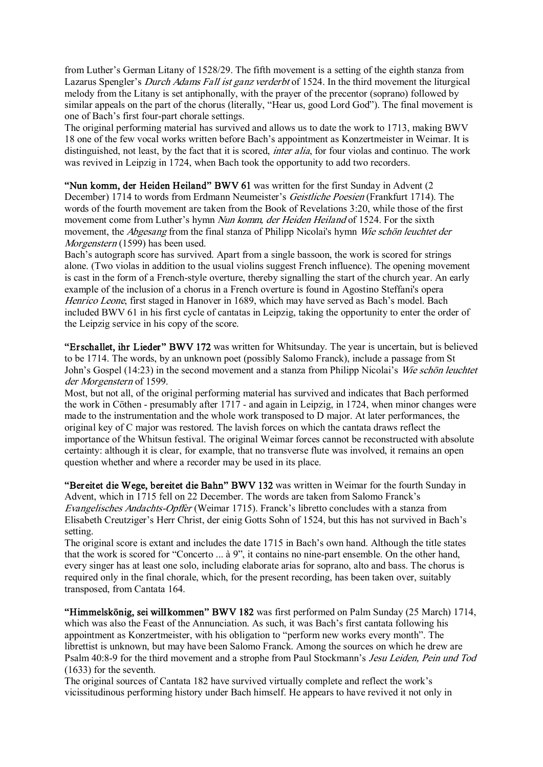from Luther's German Litany of 1528/29. The fifth movement is a setting of the eighth stanza from Lazarus Spengler's Durch Adams Fall ist ganz verderbt of 1524. In the third movement the liturgical melody from the Litany is set antiphonally, with the prayer of the precentor (soprano) followed by similar appeals on the part of the chorus (literally, "Hear us, good Lord God"). The final movement is one of Bach's first four-part chorale settings.

The original performing material has survived and allows us to date the work to 1713, making BWV 18 one of the few vocal works written before Bach's appointment as Konzertmeister in Weimar. It is distinguished, not least, by the fact that it is scored, *inter alia*, for four violas and continuo. The work was revived in Leipzig in 1724, when Bach took the opportunity to add two recorders.

"Nun komm, der Heiden Heiland" BWV 61 was written for the first Sunday in Advent (2 December) 1714 to words from Erdmann Neumeister's Geistliche Poesien (Frankfurt 1714). The words of the fourth movement are taken from the Book of Revelations 3:20, while those of the first movement come from Luther's hymn Nun komm, der Heiden Heiland of 1524. For the sixth movement, the *Abgesang* from the final stanza of Philipp Nicolai's hymn Wie schön leuchtet der Morgenstern (1599) has been used.

Bach's autograph score has survived. Apart from a single bassoon, the work is scored for strings alone. (Two violas in addition to the usual violins suggest French influence). The opening movement is cast in the form of a French-style overture, thereby signalling the start of the church year. An early example of the inclusion of a chorus in a French overture is found in Agostino Steffani's opera Henrico Leone, first staged in Hanover in 1689, which may have served as Bach's model. Bach included BWV 61 in his first cycle of cantatas in Leipzig, taking the opportunity to enter the order of the Leipzig service in his copy of the score.

"Erschallet, ihr Lieder" BWV 172 was written for Whitsunday. The year is uncertain, but is believed to be 1714. The words, by an unknown poet (possibly Salomo Franck), include a passage from St John's Gospel (14:23) in the second movement and a stanza from Philipp Nicolai's Wie schön leuchtet der Morgenstern of 1599.

Most, but not all, of the original performing material has survived and indicates that Bach performed the work in Cöthen - presumably after  $1717$  - and again in Leipzig, in 1724, when minor changes were made to the instrumentation and the whole work transposed to D major. At later performances, the original key of C major was restored. The lavish forces on which the cantata draws reflect the importance of the Whitsun festival. The original Weimar forces cannot be reconstructed with absolute certainty: although it is clear, for example, that no transverse flute was involved, it remains an open question whether and where a recorder may be used in its place.

"Bereitet die Wege, bereitet die Bahn" BWV 132 was written in Weimar for the fourth Sunday in Advent, which in 1715 fell on 22 December. The words are taken from Salomo Franck's Evangelisches Andachts-Opffer (Weimar 1715). Franck's libretto concludes with a stanza from Elisabeth Creutziger's Herr Christ, der einig Gotts Sohn of 1524, but this has not survived in Bach's setting.

The original score is extant and includes the date 1715 in Bach's own hand. Although the title states that the work is scored for "Concerto ... à 9", it contains no nine-part ensemble. On the other hand, every singer has at least one solo, including elaborate arias for soprano, alto and bass. The chorus is required only in the final chorale, which, for the present recording, has been taken over, suitably transposed, from Cantata 164.

"Himmelskönig, sei wilIkommen" BWV 182 was first performed on Palm Sunday (25 March) 1714, which was also the Feast of the Annunciation. As such, it was Bach's first cantata following his appointment as Konzertmeister, with his obligation to "perform new works every month". The librettist is unknown, but may have been Salomo Franck. Among the sources on which he drew are Psalm 40:8-9 for the third movement and a strophe from Paul Stockmann's Jesu Leiden, Pein und Tod (1633) for the seventh.

The original sources of Cantata 182 have survived virtually complete and reflect the work's vicissitudinous performing history under Bach himself. He appears to have revived it not only in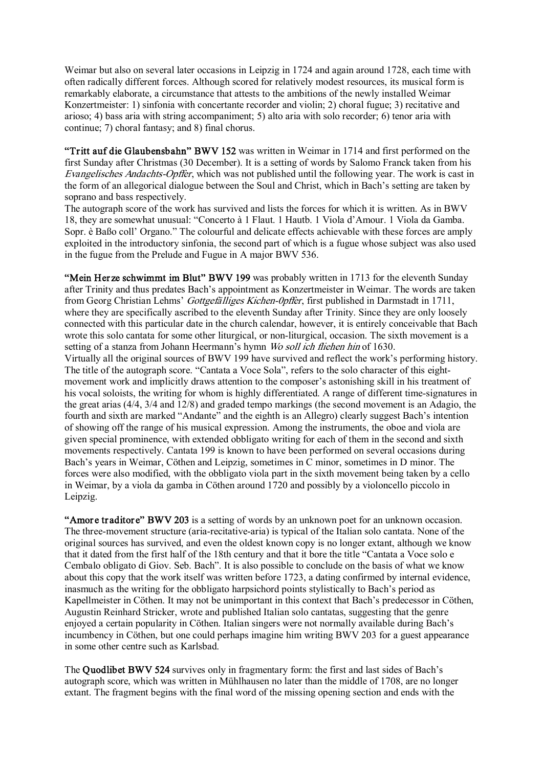Weimar but also on several later occasions in Leipzig in 1724 and again around 1728, each time with often radically different forces. Although scored for relatively modest resources, its musical form is remarkably elaborate, a circumstance that attests to the ambitions of the newly installed Weimar Konzertmeister: 1) sinfonia with concertante recorder and violin; 2) choral fugue; 3) recitative and arioso; 4) bass aria with string accompaniment; 5) alto aria with solo recorder; 6) tenor aria with continue; 7) choral fantasy; and 8) final chorus.

"Tritt auf die Glaubensbahn" BWV 152 was written in Weimar in 1714 and first performed on the first Sunday after Christmas (30 December). It is a setting of words by Salomo Franck taken from his Evangelisches Andachts-Opffer, which was not published until the following year. The work is cast in the form of an allegorical dialogue between the Soul and Christ, which in Bach's setting are taken by soprano and bass respectively.

The autograph score of the work has survived and lists the forces for which it is written. As in BWV 18, they are somewhat unusual: "Concerto à 1 Flaut. 1 Hautb. 1 Viola d'Amour. 1 Viola da Gamba. Sopr. è Baßo coll' Organo." The colourful and delicate effects achievable with these forces are amply exploited in the introductory sinfonia, the second part of which is a fugue whose subject was also used in the fugue from the Prelude and Fugue in A major BWV 536.

"Mein Herze schwimmt im Blut" BWV 199 was probably written in 1713 for the eleventh Sunday after Trinity and thus predates Bach's appointment as Konzertmeister in Weimar. The words are taken from Georg Christian Lehms' Gottgefälliges Kichen-Opffer, first published in Darmstadt in 1711, where they are specifically ascribed to the eleventh Sunday after Trinity. Since they are only loosely connected with this particular date in the church calendar, however, it is entirely conceivable that Bach wrote this solo cantata for some other liturgical, or non-liturgical, occasion. The sixth movement is a setting of a stanza from Johann Heermann's hymn Wo soll ich fliehen hin of 1630.

Virtually all the original sources of BWV 199 have survived and reflect the work's performing history. The title of the autograph score. "Cantata a Voce Sola", refers to the solo character of this eight movement work and implicitly draws attention to the composer's astonishing skill in his treatment of his vocal soloists, the writing for whom is highly differentiated. A range of different time-signatures in the great arias (4/4, 3/4 and 12/8) and graded tempo markings (the second movement is an Adagio, the fourth and sixth are marked "Andante" and the eighth is an Allegro) clearly suggest Bach's intention of showing off the range of his musical expression. Among the instruments, the oboe and viola are given special prominence, with extended obbligato writing for each of them in the second and sixth movements respectively. Cantata 199 is known to have been performed on several occasions during Bach's years in Weimar, Cöthen and Leipzig, sometimes in C minor, sometimes in D minor. The forces were also modified, with the obbligato viola part in the sixth movement being taken by a cello in Weimar, by a viola da gamba in Cöthen around 1720 and possibly by a violoncello piccolo in Leipzig.

"Amore traditore" BWV 203 is a setting of words by an unknown poet for an unknown occasion. The three-movement structure (aria-recitative-aria) is typical of the Italian solo cantata. None of the original sources has survived, and even the oldest known copy is no longer extant, although we know that it dated from the first half of the 18th century and that it bore the title "Cantata a Voce solo e Cembalo obligato di Giov. Seb. Bach". It is also possible to conclude on the basis of what we know about this copy that the work itself was written before 1723, a dating confirmed by internal evidence, inasmuch as the writing for the obbligato harpsichord points stylistically to Bach's period as Kapellmeister in Cöthen. It may not be unimportant in this context that Bach's predecessor in Cöthen, Augustin Reinhard Stricker, wrote and published Italian solo cantatas, suggesting that the genre enjoyed a certain popularity in Cöthen. Italian singers were not normally available during Bach's incumbency in Cöthen, but one could perhaps imagine him writing BWV 203 for a guest appearance in some other centre such as Karlsbad.

The Quodlibet BWV 524 survives only in fragmentary form: the first and last sides of Bach's autograph score, which was written in Mühlhausen no later than the middle of 1708, are no longer extant. The fragment begins with the final word of the missing opening section and ends with the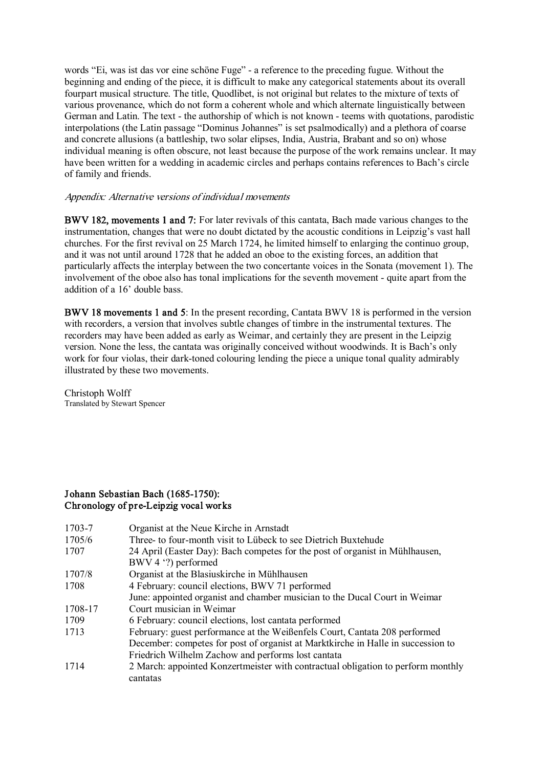words "Ei, was ist das vor eine schöne Fuge" a reference to the preceding fugue. Without the beginning and ending of the piece, it is difficult to make any categorical statements about its overall fourpart musical structure. The title, Quodlibet, is not original but relates to the mixture of texts of various provenance, which do not form a coherent whole and which alternate linguistically between German and Latin. The text - the authorship of which is not known - teems with quotations, parodistic interpolations (the Latin passage "Dominus Johannes" is set psalmodically) and a plethora of coarse and concrete allusions (a battleship, two solar elipses, India, Austria, Brabant and so on) whose individual meaning is often obscure, not least because the purpose of the work remains unclear. It may have been written for a wedding in academic circles and perhaps contains references to Bach's circle of family and friends.

## Appendix: Alternative versions of individual movements

BWV 182, movements 1 and 7: For later revivals of this cantata, Bach made various changes to the instrumentation, changes that were no doubt dictated by the acoustic conditions in Leipzig's vast hall churches. For the first revival on 25 March 1724, he limited himself to enlarging the continuo group, and it was not until around 1728 that he added an oboe to the existing forces, an addition that particularly affects the interplay between the two concertante voices in the Sonata (movement 1). The involvement of the oboe also has tonal implications for the seventh movement - quite apart from the addition of a 16' double bass.

BWV 18 movements 1 and 5: In the present recording, Cantata BWV 18 is performed in the version with recorders, a version that involves subtle changes of timbre in the instrumental textures. The recorders may have been added as early as Weimar, and certainly they are present in the Leipzig version. None the less, the cantata was originally conceived without woodwinds. It is Bach's only work for four violas, their dark-toned colouring lending the piece a unique tonal quality admirably illustrated by these two movements.

Christoph Wolff Translated by Stewart Spencer

## Johann Sebastian Bach (1685-1750): Chronology of preLeipzig vocal works

| December: competes for post of organist at Marktkirche in Halle in succession to |
|----------------------------------------------------------------------------------|
|                                                                                  |
| 2 March: appointed Konzertmeister with contractual obligation to perform monthly |
| June: appointed organist and chamber musician to the Ducal Court in Weimar       |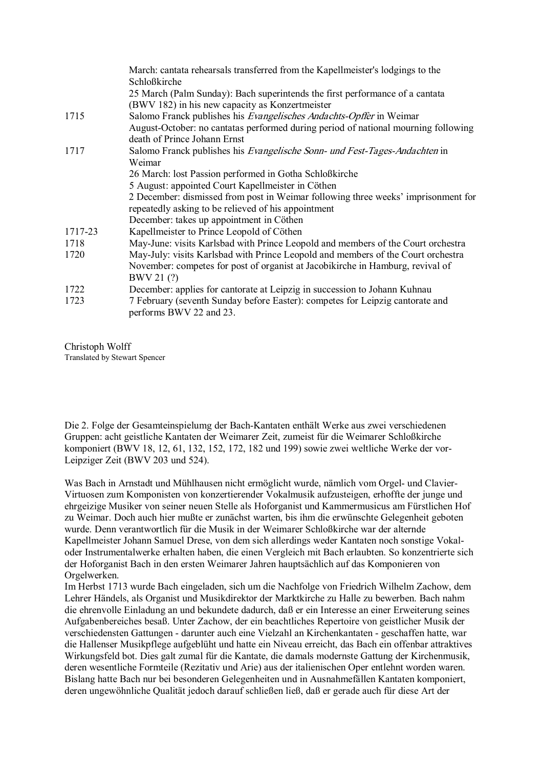|         | March: cantata rehearsals transferred from the Kapellmeister's lodgings to the                                     |
|---------|--------------------------------------------------------------------------------------------------------------------|
|         | Schloßkirche                                                                                                       |
|         | 25 March (Palm Sunday): Bach superintends the first performance of a cantata                                       |
|         | (BWV 182) in his new capacity as Konzertmeister                                                                    |
| 1715    | Salomo Franck publishes his <i>Evangelisches Andachts-Opffer</i> in Weimar                                         |
|         | August-October: no cantatas performed during period of national mourning following<br>death of Prince Johann Ernst |
| 1717    | Salomo Franck publishes his Evangelische Sonn- und Fest-Tages-Andachten in                                         |
|         | Weimar                                                                                                             |
|         | 26 March: lost Passion performed in Gotha Schloßkirche                                                             |
|         | 5 August: appointed Court Kapellmeister in Cöthen                                                                  |
|         | 2 December: dismissed from post in Weimar following three weeks' imprisonment for                                  |
|         | repeatedly asking to be relieved of his appointment                                                                |
|         | December: takes up appointment in Cöthen                                                                           |
| 1717-23 | Kapellmeister to Prince Leopold of Cöthen                                                                          |
| 1718    | May-June: visits Karlsbad with Prince Leopold and members of the Court orchestra                                   |
| 1720    | May-July: visits Karlsbad with Prince Leopold and members of the Court orchestra                                   |
|         | November: competes for post of organist at Jacobikirche in Hamburg, revival of                                     |
|         | BWV 21(?)                                                                                                          |
| 1722    | December: applies for cantorate at Leipzig in succession to Johann Kuhnau                                          |
| 1723    | 7 February (seventh Sunday before Easter): competes for Leipzig cantorate and                                      |
|         | performs BWV 22 and 23.                                                                                            |
|         |                                                                                                                    |

Christoph Wolff Translated by Stewart Spencer

Die 2. Folge der Gesamteinspielumg der Bach-Kantaten enthält Werke aus zwei verschiedenen Gruppen: acht geistliche Kantaten der Weimarer Zeit, zumeist für die Weimarer Schloßkirche komponiert (BWV 18,12, 61, 132, 152, 172, 182 und 199) sowie zwei weltliche Werke der vor Leipziger Zeit (BWV 203 und 524).

Was Bach in Arnstadt und Mühlhausen nicht ermöglicht wurde, nämlich vom Orgel- und Clavier-Virtuosen zum Komponisten von konzertierender Vokalmusik aufzusteigen, erhoffte der junge und ehrgeizige Musiker von seiner neuen Stelle als Hoforganist und Kammermusicus am Fürstlichen Hof zu Weimar. Doch auch hier mußte er zunächst warten, bis ihm die erwünschte Gelegenheit geboten wurde. Denn verantwortlich für die Musik in der Weimarer Schloßkirche war der alternde Kapellmeister Johann Samuel Drese, von dem sich allerdings weder Kantaten noch sonstige Vokal oder Instrumentalwerke erhalten haben, die einen Vergleich mit Bach erlaubten. So konzentrierte sich der Hoforganist Bach in den ersten Weimarer Jahren hauptsächlich auf das Komponieren von Orgelwerken.

Im Herbst 1713 wurde Bach eingeladen, sich um die Nachfolge von Friedrich Wilhelm Zachow, dem Lehrer Händels, als Organist und Musikdirektor der Marktkirche zu Halle zu bewerben. Bach nahm die ehrenvolle Einladung an und bekundete dadurch, daß er ein Interesse an einer Erweiterung seines Aufgabenbereiches besaß. Unter Zachow, der ein beachtliches Repertoire von geistlicher Musik der verschiedensten Gattungen - darunter auch eine Vielzahl an Kirchenkantaten - geschaffen hatte, war die Hallenser Musikpflege aufgeblüht und hatte ein Niveau erreicht, das Bach ein offenbar attraktives Wirkungsfeld bot. Dies galt zumal für die Kantate, die damals modernste Gattung der Kirchenmusik, deren wesentliche Formteile (Rezitativ und Arie) aus der italienischen Oper entlehnt worden waren. Bislang hatte Bach nur bei besonderen Gelegenheiten und in Ausnahmefällen Kantaten komponiert, deren ungewöhnliche Qualität jedoch darauf schließen ließ, daß er gerade auch für diese Art der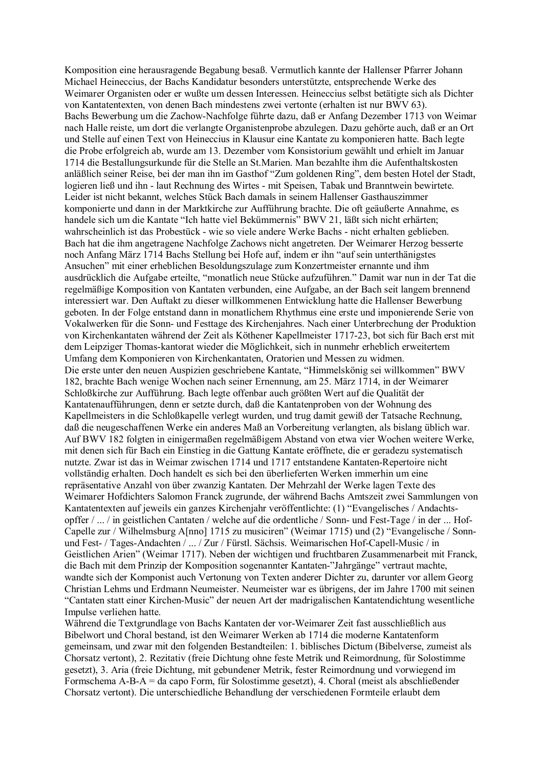Komposition eine herausragende Begabung besaß. Vermutlich kannte der Hallenser Pfarrer Johann Michael Heineccius, der Bachs Kandidatur besonders unterstützte, entsprechende Werke des Weimarer Organisten oder er wußte um dessen Interessen. Heineccius selbst betätigte sich als Dichter von Kantatentexten, von denen Bach mindestens zwei vertonte (erhalten ist nur BWV 63). Bachs Bewerbung um die Zachow-Nachfolge führte dazu, daß er Anfang Dezember 1713 von Weimar nach Halle reiste, um dort die verlangte Organistenprobe abzulegen. Dazu gehörte auch, daß er an Ort und Stelle auf einen Text von Heineccius in Klausur eine Kantate zu komponieren hatte. Bach legte die Probe erfolgreich ab, wurde am 13. Dezember vom Konsistorium gewählt und erhielt im Januar 1714 die Bestallungsurkunde für die Stelle an St.Marien. Man bezahlte ihm die Aufenthaltskosten anläßlich seiner Reise, bei der man ihn im Gasthof "Zum goldenen Ring", dem besten Hotel der Stadt, logieren ließ und ihn - laut Rechnung des Wirtes - mit Speisen, Tabak und Branntwein bewirtete. Leider ist nicht bekannt, welches Stück Bach damals in seinem Hallenser Gasthauszimmer komponierte und dann in der Marktkirche zur Aufführung brachte. Die oft geäußerte Annahme, es handele sich um die Kantate "Ich hatte viel Bekümmernis" BWV 21, läßt sich nicht erhärten; wahrscheinlich ist das Probestück - wie so viele andere Werke Bachs - nicht erhalten geblieben. Bach hat die ihm angetragene Nachfolge Zachows nicht angetreten. Der Weimarer Herzog besserte noch Anfang März 1714 Bachs Stellung bei Hofe auf, indem er ihn "auf sein unterthänigstes Ansuchen" mit einer erheblichen Besoldungszulage zum Konzertmeister ernannte und ihm ausdrücklich die Aufgabe erteilte, "monatlich neue Stücke aufzuführen." Damit war nun in der Tat die regelmäßige Komposition von Kantaten verbunden, eine Aufgabe, an der Bach seit langem brennend interessiert war. Den Auftakt zu dieser willkommenen Entwicklung hatte die Hallenser Bewerbung geboten. In der Folge entstand dann in monatlichem Rhythmus eine erste und imponierende Serie von Vokalwerken für die Sonn- und Festtage des Kirchenjahres. Nach einer Unterbrechung der Produktion von Kirchenkantaten während der Zeit als Köthener Kapellmeister 171723, bot sich für Bach erst mit dem Leipziger Thomas-kantorat wieder die Möglichkeit, sich in nunmehr erheblich erweitertem Umfang dem Komponieren von Kirchenkantaten, Oratorien und Messen zu widmen. Die erste unter den neuen Auspizien geschriebene Kantate, "Himmelskönig sei willkommen" BWV 182, brachte Bach wenige Wochen nach seiner Ernennung, am 25. März 1714, in der Weimarer Schloßkirche zur Aufführung. Bach legte offenbar auch größten Wert auf die Qualität der Kantatenaufführungen, denn er setzte durch, daß die Kantatenproben von der Wohnung des Kapellmeisters in die Schloßkapelle verlegt wurden, und trug damit gewiß der Tatsache Rechnung, daß die neugeschaffenen Werke ein anderes Maß an Vorbereitung verlangten, als bislang üblich war. Auf BWV 182 folgten in einigermaßen regelmäßigem Abstand von etwa vier Wochen weitere Werke, mit denen sich für Bach ein Einstieg in die Gattung Kantate eröffnete, die er geradezu systematisch nutzte. Zwar ist das in Weimar zwischen 1714 und 1717 entstandene Kantaten-Repertoire nicht vollständig erhalten. Doch handelt es sich bei den überlieferten Werken immerhin um eine repräsentative Anzahl von über zwanzig Kantaten. Der Mehrzahl der Werke lagen Texte des Weimarer Hofdichters Salomon Franck zugrunde, der während Bachs Amtszeit zwei Sammlungen von Kantatentexten auf jeweils ein ganzes Kirchenjahr veröffentlichte: (1) "Evangelisches / Andachts opffer / ... / in geistlichen Cantaten / welche auf die ordentliche / Sonn- und Fest-Tage / in der ... Hof-Capelle zur / Wilhelmsburg A[nno] 1715 zu musiciren" (Weimar 1715) und (2) "Evangelische / Sonn und Fest- / Tages-Andachten / ... / Zur / Fürstl. Sächsis. Weimarischen Hof-Capell-Music / in Geistlichen Arien" (Weimar 1717). Neben der wichtigen und fruchtbaren Zusammenarbeit mit Franck, die Bach mit dem Prinzip der Komposition sogenannter Kantaten"Jahrgänge" vertraut machte, wandte sich der Komponist auch Vertonung von Texten anderer Dichter zu, darunter vor allem Georg Christian Lehms und Erdmann Neumeister. Neumeister war es übrigens, der im Jahre 1700 mit seinen "Cantaten statt einer Kirchen-Music" der neuen Art der madrigalischen Kantatendichtung wesentliche Impulse verliehen hatte.

Während die Texterundlage von Bachs Kantaten der vor-Weimarer Zeit fast ausschließlich aus Bibelwort und Choral bestand, ist den Weimarer Werken ab 1714 die moderne Kantatenform gemeinsam, und zwar mit den folgenden Bestandteilen: 1. biblisches Dictum (Bibelverse, zumeist als Chorsatz vertont), 2. Rezitativ (freie Dichtung ohne feste Metrik und Reimordnung, für Solostimme gesetzt), 3. Aria (freie Dichtung, mit gebundener Metrik, fester Reimordnung und vorwiegend im Formschema A-B-A = da capo Form, für Solostimme gesetzt), 4. Choral (meist als abschließender Chorsatz vertont). Die unterschiedliche Behandlung der verschiedenen Formteile erlaubt dem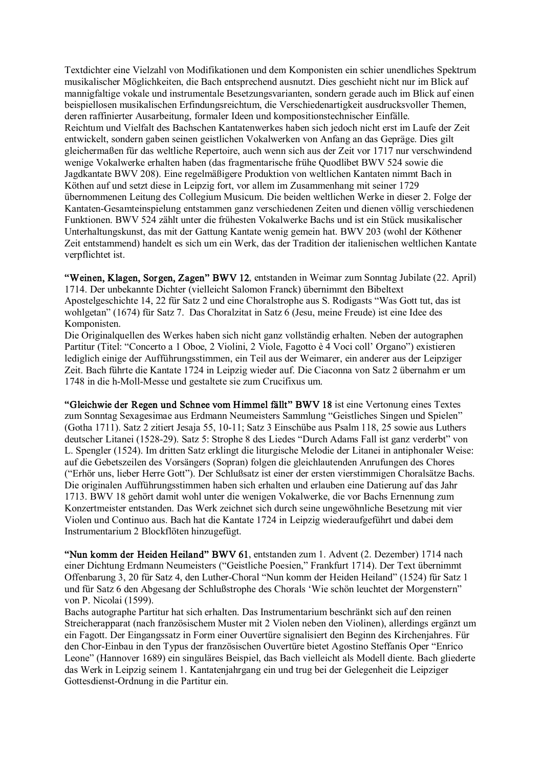Textdichter eine Vielzahl von Modifikationen und dem Komponisten ein schier unendliches Spektrum musikalischer Möglichkeiten, die Bach entsprechend ausnutzt. Dies geschieht nicht nur im Blick auf mannigfaltige vokale und instrumentale Besetzungsvarianten, sondern gerade auch im Blick auf einen beispiellosen musikalischen Erfindungsreichtum, die Verschiedenartigkeit ausdrucksvoller Themen, deren raffinierter Ausarbeitung, formaler Ideen und kompositionstechnischer Einfälle. Reichtum und Vielfalt des Bachschen Kantatenwerkes haben sich jedoch nicht erst im Laufe der Zeit entwickelt, sondern gaben seinen geistlichen Vokalwerken von Anfang an das Gepräge. Dies gilt gleichermaßen für das weltliche Repertoire, auch wenn sich aus der Zeit vor 1717 nur verschwindend wenige Vokalwerke erhalten haben (das fragmentarische frühe Quodlibet BWV 524 sowie die Jagdkantate BWV 208). Eine regelmäßigere Produktion von weltlichen Kantaten nimmt Bach in Köthen auf und setzt diese in Leipzig fort, vor allem im Zusammenhang mit seiner 1729 übernommenen Leitung des Collegium Musicum. Die beiden weltlichen Werke in dieser 2. Folge der Kantaten-Gesamteinspielung entstammen ganz verschiedenen Zeiten und dienen völlig verschiedenen Funktionen. BWV 524 zählt unter die frühesten Vokalwerke Bachs und ist ein Stück musikalischer Unterhaltungskunst, das mit der Gattung Kantate wenig gemein hat. BWV 203 (wohl der Köthener Zeit entstammend) handelt es sich um ein Werk, das der Tradition der italienischen weltlichen Kantate verpflichtet ist.

"Weinen, Klagen, Sorgen, Zagen" BWV 12, entstanden in Weimar zum Sonntag Jubilate (22. April) 1714. Der unbekannte Dichter (vielleicht Salomon Franck) übernimmt den Bibeltext Apostelgeschichte 14, 22 für Satz 2 und eine Choralstrophe aus S. Rodigasts "Was Gott tut, das ist wohlgetan" (1674) für Satz 7. Das Choralzitat in Satz 6 (Jesu, meine Freude) ist eine Idee des Komponisten.

Die Originalquellen des Werkes haben sich nicht ganz vollständig erhalten. Neben der autographen Partitur (Titel: "Concerto a 1 Oboe, 2 Violini, 2 Viole, Fagotto è 4 Voci coll' Organo") existieren lediglich einige der Aufführungsstimmen, ein Teil aus der Weimarer, ein anderer aus der Leipziger Zeit. Bach führte die Kantate 1724 in Leipzig wieder auf. Die Ciaconna von Satz 2 übernahm er um 1748 in die h-Moll-Messe und gestaltete sie zum Crucifixus um.

"Gleichwie der Regen und Schnee vom Himmel fällt" BWV 18 ist eine Vertonung eines Textes zum Sonntag Sexagesimae aus Erdmann Neumeisters Sammlung "Geistliches Singen und Spielen" (Gotha 1711). Satz 2 zitiert Jesaja 55, 1011; Satz 3 Einschübe aus Psalm 118, 25 sowie aus Luthers deutscher Litanei (1528-29). Satz 5: Strophe 8 des Liedes "Durch Adams Fall ist ganz verderbt" von L. Spengler (1524). Im dritten Satz erklingt die liturgische Melodie der Litanei in antiphonaler Weise: auf die Gebetszeilen des Vorsängers (Sopran) folgen die gleichlautenden Anrufungen des Chores ("Erhör uns, lieber Herre Gott"). Der Schlußsatz ist einer der ersten vierstimmigen Choralsätze Bachs. Die originalen Aufführungsstimmen haben sich erhalten und erlauben eine Datierung auf das Jahr 1713. BWV 18 gehört damit wohl unter die wenigen Vokalwerke, die vor Bachs Ernennung zum Konzertmeister entstanden. Das Werk zeichnet sich durch seine ungewöhnliche Besetzung mit vier Violen und Continuo aus. Bach hat die Kantate 1724 in Leipzig wiederaufgeführt und dabei dem Instrumentarium 2 Blockflöten hinzugefügt.

"Nun komm der Heiden Heiland" BWV 61, entstanden zum 1. Advent (2. Dezember) 1714 nach einer Dichtung Erdmann Neumeisters ("Geistliche Poesien," Frankfurt 1714). Der Text übernimmt Offenbarung 3, 20 für Satz 4, den LutherChoral "Nun komm der Heiden Heiland" (1524) für Satz 1 und für Satz 6 den Abgesang der Schlußstrophe des Chorals 'Wie schön leuchtet der Morgenstern" von P. Nicolai (1599).

Bachs autographe Partitur hat sich erhalten. Das Instrumentarium beschränkt sich auf den reinen Streicherapparat (nach französischem Muster mit 2 Violen neben den Violinen), allerdings ergänzt um ein Fagott. Der Eingangssatz in Form einer Ouvertüre signalisiert den Beginn des Kirchenjahres. Für den Chor-Einbau in den Typus der französischen Ouvertüre bietet Agostino Steffanis Oper "Enrico" Leone" (Hannover 1689) ein singuläres Beispiel, das Bach vielleicht als Modell diente. Bach gliederte das Werk in Leipzig seinem 1. Kantatenjahrgang ein und trug bei der Gelegenheit die Leipziger Gottesdienst-Ordnung in die Partitur ein.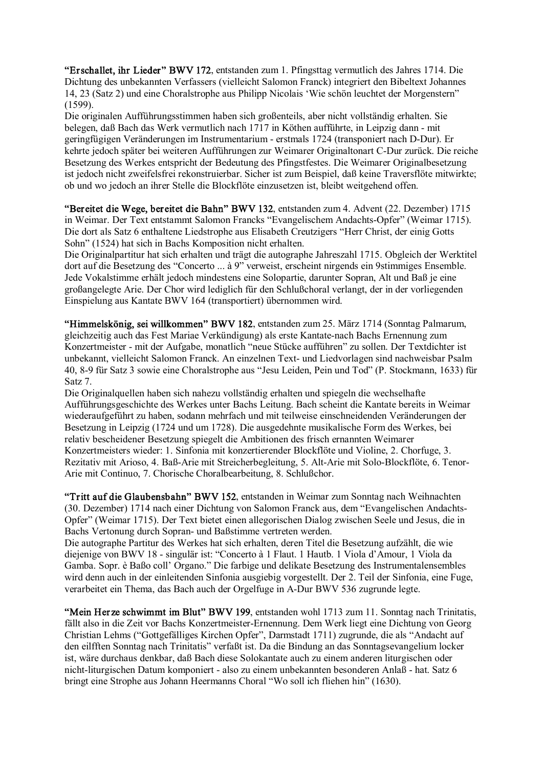"Erschallet, ihr Lieder" BWV 172, entstanden zum 1. Pfingsttag vermutlich des Jahres 1714. Die Dichtung des unbekannten Verfassers (vielleicht Salomon Franck) integriert den Bibeltext Johannes 14, 23 (Satz 2) und eine Choralstrophe aus Philipp Nicolais 'Wie schön leuchtet der Morgenstern" (1599).

Die originalen Aufführungsstimmen haben sich großenteils, aber nicht vollständig erhalten. Sie belegen, daß Bach das Werk vermutlich nach 1717 in Köthen aufführte, in Leinzig dann - mit geringfügigen Veränderungen im Instrumentarium - erstmals 1724 (transponiert nach D-Dur). Er kehrte jedoch später bei weiteren Aufführungen zur Weimarer Originaltonart C-Dur zurück. Die reiche Besetzung des Werkes entspricht der Bedeutung des Pfingstfestes. Die Weimarer Originalbesetzung ist jedoch nicht zweifelsfrei rekonstruierbar. Sicher ist zum Beispiel, daß keine Traversflöte mitwirkte; ob und wo jedoch an ihrer Stelle die Blockflöte einzusetzen ist, bleibt weitgehend offen.

"Bereitet die Wege, bereitet die Bahn" BWV 132, entstanden zum 4. Advent (22. Dezember) 1715 in Weimar. Der Text entstammt Salomon Francks "Evangelischem Andachts-Opfer" (Weimar 1715). Die dort als Satz 6 enthaltene Liedstrophe aus Elisabeth Creutzigers "Herr Christ, der einig Gotts Sohn" (1524) hat sich in Bachs Komposition nicht erhalten.

Die Originalpartitur hat sich erhalten und trägt die autographe Jahreszahl 1715. Obgleich der Werktitel dort auf die Besetzung des "Concerto ... à 9" verweist, erscheint nirgends ein 9stimmiges Ensemble. Jede Vokalstimme erhält jedoch mindestens eine Solopartie, darunter Sopran, Alt und Baß je eine großangelegte Arie. Der Chor wird lediglich für den Schlußchoral verlangt, der in der vorliegenden Einspielung aus Kantate BWV 164 (transportiert) übernommen wird.

"Himmelskönig, sei willkommen" BWV 182, entstanden zum 25. März 1714 (Sonntag Palmarum, gleichzeitig auch das Fest Mariae Verkündigung) als erste Kantatenach Bachs Ernennung zum Konzertmeister - mit der Aufgabe, monatlich "neue Stücke aufführen" zu sollen. Der Textdichter ist unbekannt, vielleicht Salomon Franck. An einzelnen Text- und Liedvorlagen sind nachweisbar Psalm 40, 89 für Satz 3 sowie eine Choralstrophe aus "Jesu Leiden, Pein und Tod" (P. Stockmann, 1633) für Satz 7.

Die Originalquellen haben sich nahezu vollständig erhalten und spiegeln die wechselhafte Aufführungsgeschichte des Werkes unter Bachs Leitung. Bach scheint die Kantate bereits in Weimar wiederaufgeführt zu haben, sodann mehrfach und mit teilweise einschneidenden Veränderungen der Besetzung in Leipzig (1724 und um 1728). Die ausgedehnte musikalische Form des Werkes, bei relativ bescheidener Besetzung spiegelt die Ambitionen des frisch ernannten Weimarer Konzertmeisters wieder: 1. Sinfonia mit konzertierender Blockflöte und Violine, 2. Chorfuge, 3. Rezitativ mit Arioso, 4. Baß-Arie mit Streicherbegleitung, 5. Alt-Arie mit Solo-Blockflöte, 6. Tenor-Arie mit Continuo, 7. Chorische Choralbearbeitung, 8. Schlußchor.

"Tritt auf die Glaubensbahn" BWV 152, entstanden in Weimar zum Sonntag nach Weihnachten (30. Dezember) 1714 nach einer Dichtung von Salomon Franck aus, dem "Evangelischen Andachts Opfer" (Weimar 1715). Der Text bietet einen allegorischen Dialog zwischen Seele und Jesus, die in Bachs Vertonung durch Sopran- und Baßstimme vertreten werden.

Die autographe Partitur des Werkes hat sich erhalten, deren Titel die Besetzung aufzählt, die wie diejenige von BWV 18 singulär ist: "Concerto à 1 Flaut. 1 Hautb. 1 Viola d'Amour, 1 Viola da Gamba. Sopr. è Baßo coll' Organo." Die farbige und delikate Besetzung des Instrumentalensembles wird denn auch in der einleitenden Sinfonia ausgiebig vorgestellt. Der 2. Teil der Sinfonia, eine Fuge, verarbeitet ein Thema, das Bach auch der Orgelfuge in A-Dur BWV 536 zugrunde legte.

"Mein Herze schwimmt im Blut" BWV 199, entstanden wohl 1713 zum 11. Sonntag nach Trinitatis, fällt also in die Zeit vor Bachs Konzertmeister-Ernennung. Dem Werk liegt eine Dichtung von Georg Christian Lehms ("Gottgefälliges Kirchen Opfer", Darmstadt 1711) zugrunde, die als "Andacht auf den eilfften Sonntag nach Trinitatis" verfaßt ist. Da die Bindung an das Sonntagsevangelium locker ist, wäre durchaus denkbar, daß Bach diese Solokantate auch zu einem anderen liturgischen oder nicht-liturgischen Datum komponiert - also zu einem unbekannten besonderen Anlaß - hat. Satz 6 bringt eine Strophe aus Johann Heermanns Choral "Wo soll ich fliehen hin" (1630).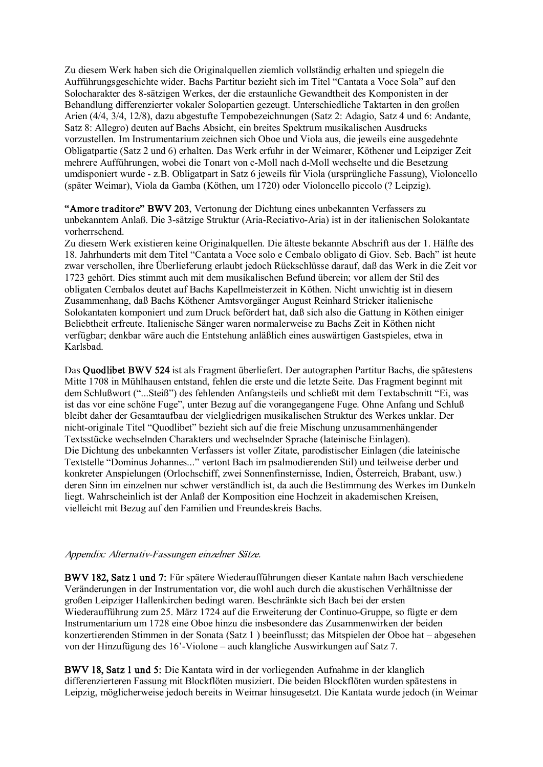Zu diesem Werk haben sich die Originalquellen ziemlich vollständig erhalten und spiegeln die Aufführungsgeschichte wider. Bachs Partitur bezieht sich im Titel "Cantata a Voce Sola" auf den Solocharakter des 8sätzigen Werkes, der die erstaunliche Gewandtheit des Komponisten in der Behandlung differenzierter vokaler Solopartien gezeugt. Unterschiedliche Taktarten in den großen Arien (4/4, 3/4, 12/8), dazu abgestufte Tempobezeichnungen (Satz 2: Adagio, Satz 4 und 6: Andante, Satz 8: Allegro) deuten auf Bachs Absicht, ein breites Spektrum musikalischen Ausdrucks vorzustellen. Im Instrumentarium zeichnen sich Oboe und Viola aus, die jeweils eine ausgedehnte Obligatpartie (Satz 2 und 6) erhalten. Das Werk erfuhr in der Weimarer, Köthener und Leipziger Zeit mehrere Aufführungen, wobei die Tonart von c-Moll nach d-Moll wechselte und die Besetzung umdisponiert wurde z.B. Obligatpart in Satz 6 jeweils für Viola (ursprüngliche Fassung), Violoncello (später Weimar), Viola da Gamba (Köthen, um 1720) oder Violoncello piccolo (? Leipzig).

"Amore traditore" BWV 203, Vertonung der Dichtung eines unbekannten Verfassers zu unbekanntem Anlaß. Die 3-sätzige Struktur (Aria-Reciativo-Aria) ist in der italienischen Solokantate vorherrschend.

Zu diesem Werk existieren keine Originalquellen. Die älteste bekannte Abschrift aus der 1. Hälfte des 18. Jahrhunderts mit dem Titel "Cantata a Voce solo e Cembalo obligato di Giov. Seb. Bach" ist heute zwar verschollen, ihre Überlieferung erlaubt jedoch Rückschlüsse darauf, daß das Werk in die Zeit vor 1723 gehört. Dies stimmt auch mit dem musikalischen Befund überein; vor allem der Stil des obligaten Cembalos deutet auf Bachs Kapellmeisterzeit in Köthen. Nicht unwichtig ist in diesem Zusammenhang, daß Bachs Köthener Amtsvorgänger August Reinhard Stricker italienische Solokantaten komponiert und zum Druck befördert hat, daß sich also die Gattung in Köthen einiger Beliebtheit erfreute. Italienische Sänger waren normalerweise zu Bachs Zeit in Köthen nicht verfügbar; denkbar wäre auch die Entstehung anläßlich eines auswärtigen Gastspieles, etwa in Karlsbad.

Das Quodlibet BWV 524 ist als Fragment überliefert. Der autographen Partitur Bachs, die spätestens Mitte 1708 in Mühlhausen entstand, fehlen die erste und die letzte Seite. Das Fragment beginnt mit dem Schlußwort ("...Steiß") des fehlenden Anfangsteils und schließt mit dem Textabschnitt "Ei, was ist das vor eine schöne Fuge", unter Bezug auf die vorangegangene Fuge. Ohne Anfang und Schluß bleibt daher der Gesamtaufbau der vielgliedrigen musikalischen Struktur des Werkes unklar. Der nicht-originale Titel "Quodlibet" bezieht sich auf die freie Mischung unzusammenhängender Textsstücke wechselnden Charakters und wechselnder Sprache (lateinische Einlagen). Die Dichtung des unbekannten Verfassers ist voller Zitate, parodistischer Einlagen (die lateinische Textstelle "Dominus Johannes..." vertont Bach im psalmodierenden Stil) und teilweise derber und konkreter Anspielungen (Orlochschiff, zwei Sonnenfinsternisse, Indien, Österreich, Brabant, usw.) deren Sinn im einzelnen nur schwer verständlich ist, da auch die Bestimmung des Werkes im Dunkeln liegt. Wahrscheinlich ist der Anlaß der Komposition eine Hochzeit in akademischen Kreisen, vielleicht mit Bezug auf den Familien und Freundeskreis Bachs.

#### Appendix: Alternativ-Fassungen einzelner Sätze.

BWV 182, Satz 1 und 7: Für spätere Wiederaufführungen dieser Kantate nahm Bach verschiedene Veränderungen in der Instrumentation vor, die wohl auch durch die akustischen Verhältnisse der großen Leipziger Hallenkirchen bedingt waren. Beschränkte sich Bach bei der ersten Wiederaufführung zum 25. März 1724 auf die Erweiterung der Continuo-Gruppe, so fügte er dem Instrumentarium um 1728 eine Oboe hinzu die insbesondere das Zusammenwirken der beiden konzertierenden Stimmen in der Sonata (Satz 1 ) beeinflusst; das Mitspielen der Oboe hat – abgesehen von der Hinzufügung des 16'-Violone – auch klangliche Auswirkungen auf Satz 7.

BWV 18, Satz 1 und 5: Die Kantata wird in der vorliegenden Aufnahme in der klanglich differenzierteren Fassung mit Blockflöten musiziert. Die beiden Blockflöten wurden spätestens in Leipzig, möglicherweise jedoch bereits in Weimar hinsugesetzt. Die Kantata wurde jedoch (in Weimar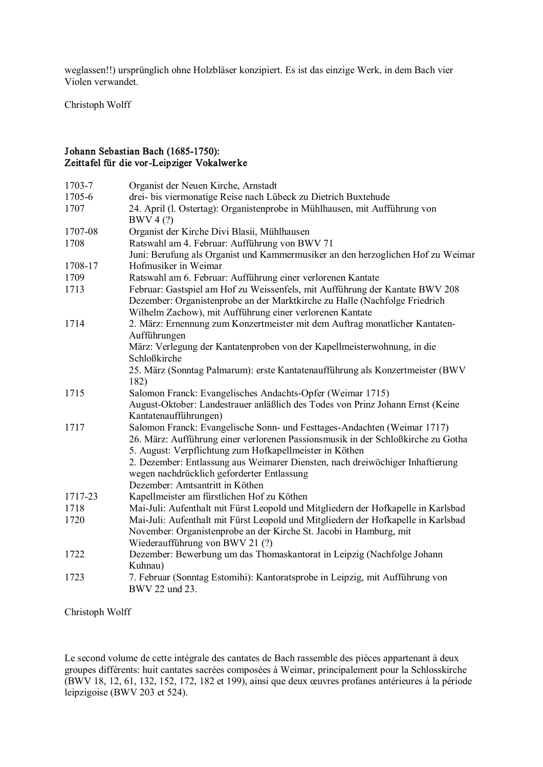weglassen!!) ursprünglich ohne Holzbläser konzipiert. Es ist das einzige Werk, in dem Bach vier Violen verwandet.

Christoph Wolff

## Johann Sebastian Bach (1685-1750): Zeittafel für die vor-Leipziger Vokalwerke

| 1703-7  | Organist der Neuen Kirche, Arnstadt                                                     |
|---------|-----------------------------------------------------------------------------------------|
| 1705-6  | drei- bis viermonatige Reise nach Lübeck zu Dietrich Buxtehude                          |
| 1707    | 24. April (l. Ostertag): Organistenprobe in Mühlhausen, mit Aufführung von<br>BWV 4 (?) |
| 1707-08 | Organist der Kirche Divi Blasii, Mühlhausen                                             |
| 1708    | Ratswahl am 4. Februar: Aufführung von BWV 71                                           |
|         | Juni: Berufung als Organist und Kammermusiker an den herzoglichen Hof zu Weimar         |
| 1708-17 | Hofmusiker in Weimar                                                                    |
| 1709    | Ratswahl am 6. Februar: Aufführung einer verlorenen Kantate                             |
| 1713    | Februar: Gastspiel am Hof zu Weissenfels, mit Aufführung der Kantate BWV 208            |
|         | Dezember: Organistenprobe an der Marktkirche zu Halle (Nachfolge Friedrich              |
|         | Wilhelm Zachow), mit Aufführung einer verlorenen Kantate                                |
| 1714    | 2. März: Ernennung zum Konzertmeister mit dem Auftrag monatlicher Kantaten-             |
|         | Aufführungen                                                                            |
|         | März: Verlegung der Kantatenproben von der Kapellmeisterwohnung, in die                 |
|         | Schloßkirche                                                                            |
|         | 25. März (Sonntag Palmarum): erste Kantatenaufführung als Konzertmeister (BWV           |
|         | 182)                                                                                    |
| 1715    | Salomon Franck: Evangelisches Andachts-Opfer (Weimar 1715)                              |
|         | August-Oktober: Landestrauer anläßlich des Todes von Prinz Johann Ernst (Keine          |
|         | Kantatenaufführungen)                                                                   |
| 1717    | Salomon Franck: Evangelische Sonn- und Festtages-Andachten (Weimar 1717)                |
|         | 26. März: Aufführung einer verlorenen Passionsmusik in der Schloßkirche zu Gotha        |
|         | 5. August: Verpflichtung zum Hofkapellmeister in Köthen                                 |
|         | 2. Dezember: Entlassung aus Weimarer Diensten, nach dreiwöchiger Inhaftierung           |
|         | wegen nachdrücklich geforderter Entlassung                                              |
|         | Dezember: Amtsantritt in Köthen                                                         |
| 1717-23 | Kapellmeister am fürstlichen Hof zu Köthen                                              |
| 1718    | Mai-Juli: Aufenthalt mit Fürst Leopold und Mitgliedern der Hofkapelle in Karlsbad       |
| 1720    | Mai-Juli: Aufenthalt mit Fürst Leopold und Mitgliedern der Hofkapelle in Karlsbad       |
|         | November: Organistenprobe an der Kirche St. Jacobi in Hamburg, mit                      |
|         | Wiederaufführung von BWV 21 (?)                                                         |
| 1722    | Dezember: Bewerbung um das Thomaskantorat in Leipzig (Nachfolge Johann<br>Kuhnau)       |
| 1723    | 7. Februar (Sonntag Estomihi): Kantoratsprobe in Leipzig, mit Aufführung von            |
|         | BWV 22 und 23.                                                                          |
|         |                                                                                         |

Christoph Wolff

Le second volume de cette intégrale des cantates de Bach rassemble des pièces appartenant à deux groupes différents: huit cantates sacrées composées à Weimar, principalement pour la Schlosskirche (BWV 18,12, 61, 132, 152, 172, 182 et 199), ainsi que deux œuvres profanes antérieures à la période leipzigoise (BWV 203 et 524).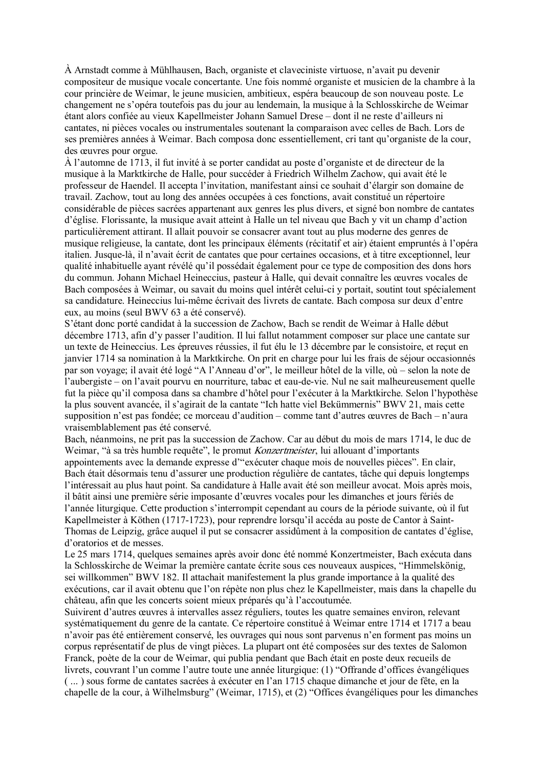À Arnstadt comme à Mühlhausen, Bach, organiste et claveciniste virtuose, n'avait pu devenir compositeur de musique vocale concertante. Une fois nommé organiste et musicien de la chambre à la cour princière de Weimar, le jeune musicien, ambitieux, espéra beaucoup de son nouveau poste. Le changement ne s'opéra toutefois pas du jour au lendemain, la musique à la Schlosskirche de Weimar étant alors confiée au vieux Kapellmeister Johann Samuel Drese – dont il ne reste d'ailleurs ni cantates, ni pièces vocales ou instrumentales soutenant la comparaison avec celles de Bach. Lors de ses premières années à Weimar. Bach composa donc essentiellement, cri tant qu'organiste de la cour, des œuvres pour orgue.

À l'automne de 1713, il fut invité à se porter candidat au poste d'organiste et de directeur de la musique à la Marktkirche de Halle, pour succéder à Friedrich Wilhelm Zachow, qui avait été le professeur de Haendel. Il accepta l'invitation, manifestant ainsi ce souhait d'élargir son domaine de travail. Zachow, tout au long des années occupées à ces fonctions, avait constitué un répertoire considérable de pièces sacrées appartenant aux genres les plus divers, et signé bon nombre de cantates d'église. Florissante, la musique avait atteint à Halle un tel niveau que Bach y vit un champ d'action particulièrement attirant. Il allait pouvoir se consacrer avant tout au plus moderne des genres de musique religieuse, la cantate, dont les principaux éléments (récitatif et air) étaient empruntés à l'opéra italien. Jusque-là, il n'avait écrit de cantates que pour certaines occasions, et à titre exceptionnel, leur qualité inhabituelle ayant révélé qu'il possédait également pour ce type de composition des dons hors du commun. Johann Michael Heineccius, pasteur à Halle, qui devait connaître les œuvres vocales de Bach composées à Weimar, ou savait du moins quel intérêt celui-ci y portait, soutint tout spécialement sa candidature. Heineccius lui-même écrivait des livrets de cantate. Bach composa sur deux d'entre eux, au moins (seul BWV 63 a été conservé).

S'étant donc porté candidat à la succession de Zachow, Bach se rendit de Weimar à Halle début décembre 1713, afin d'y passer l'audition. Il lui fallut notamment composer sur place une cantate sur un texte de Heineccius. Les épreuves réussies, il fut élu le 13 décembre par le consistoire, et reçut en janvier 1714 sa nomination à la Marktkirche. On prit en charge pour lui les frais de séjour occasionnés par son voyage; il avait été logé "A l'Anneau d'or", le meilleur hôtel de la ville, où – selon la note de l'aubergiste – on l'avait pourvu en nourriture, tabac et eau-de-vie. Nul ne sait malheureusement quelle fut la pièce qu'il composa dans sa chambre d'hôtel pour l'exécuter à la Marktkirche. Selon l'hypothèse la plus souvent avancée, il s'agirait de la cantate "Ich hatte viel Bekümmernis" BWV 21, mais cette supposition n'est pas fondée; ce morceau d'audition – comme tant d'autres œuvres de Bach – n'aura vraisemblablement pas été conservé.

Bach, néanmoins, ne prit pas la succession de Zachow. Car au début du mois de mars 1714, le duc de Weimar, "à sa très humble requête", le promut Konzertmeister, lui allouant d'importants appointements avec la demande expresse d'"exécuter chaque mois de nouvelles pièces". En clair, Bach était désormais tenu d'assurer une production régulière de cantates, tâche qui depuis longtemps l'intéressait au plus haut point. Sa candidature à Halle avait été son meilleur avocat. Mois après mois, il bâtit ainsi une première série imposante d'œuvres vocales pour les dimanches et jours fériés de l'année liturgique. Cette production s'interrompit cependant au cours de la période suivante, où il fut Kapellmeister à Köthen (1717-1723), pour reprendre lorsqu'il accéda au poste de Cantor à Saint-Thomas de Leipzig, grâce auquel il put se consacrer assidûment à la composition de cantates d'église, d'oratorios et de messes.

Le 25 mars 1714, quelques semaines après avoir donc été nommé Konzertmeister, Bach exécuta dans la Schlosskirche de Weimar la première cantate écrite sous ces nouveaux auspices, "Himmelskönig, sei willkommen" BWV 182. Il attachait manifestement la plus grande importance à la qualité des exécutions, car il avait obtenu que l'on répète non plus chez le Kapellmeister, mais dans la chapelle du château, afin que les concerts soient mieux préparés qu'à l'accoutumée.

Suivirent d'autres œuvres à intervalles assez réguliers, toutes les quatre semaines environ, relevant systématiquement du genre de la cantate. Ce répertoire constitué à Weimar entre 1714 et 1717 a beau n'avoir pas été entièrement conservé, les ouvrages qui nous sont parvenus n'en forment pas moins un corpus représentatif de plus de vingt pièces. La plupart ont été composées sur des textes de Salomon Franck, poète de la cour de Weimar, qui publia pendant que Bach était en poste deux recueils de livrets, couvrant l'un comme l'autre toute une année liturgique: (1) "Offrande d'offices évangéliques ( ... ) sous forme de cantates sacrées à exécuter en l'an 1715 chaque dimanche et jour de fête, en la chapelle de la cour, à Wilhelmsburg" (Weimar, 1715), et (2) "Offices évangéliques pour les dimanches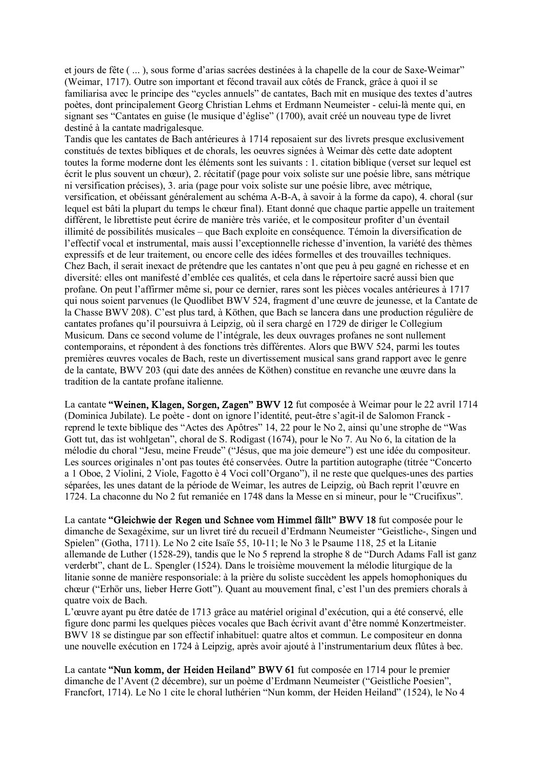et jours de fête ( ... ), sous forme d'arias sacrées destinées à la chapelle de la cour de Saxe-Weimar" (Weimar, 1717). Outre son important et fécond travail aux côtés de Franck, grâce à quoi il se familiarisa avec le principe des "cycles annuels" de cantates, Bach mit en musique des textes d'autres poètes, dont principalement Georg Christian Lehms et Erdmann Neumeister - celui-là mente qui, en signant ses "Cantates en guise (le musique d'église" (1700), avait créé un nouveau type de livret destiné à la cantate madrigalesque.

Tandis que les cantates de Bach antérieures à 1714 reposaient sur des livrets presque exclusivement constitués de textes bibliques et de chorals, les oeuvres signées à Weimar dès cette date adoptent toutes la forme moderne dont les éléments sont les suivants : 1. citation biblique (verset sur lequel est écrit le plus souvent un chœur), 2. récitatif (page pour voix soliste sur une poésie libre, sans métrique ni versification précises), 3. aria (page pour voix soliste sur une poésie libre, avec métrique, versification, et obéissant généralement au schéma A-B-A, à savoir à la forme da capo), 4. choral (sur lequel est bâti la plupart du temps le chœur final). Etant donné que chaque partie appelle un traitement différent, le librettiste peut écrire de manière très variée, et le compositeur profiter d'un éventail illimité de possibilités musicales – que Bach exploite en conséquence. Témoin la diversification de l'effectif vocal et instrumental, mais aussi l'exceptionnelle richesse d'invention, la variété des thèmes expressifs et de leur traitement, ou encore celle des idées formelles et des trouvailles techniques. Chez Bach, il serait inexact de prétendre que les cantates n'ont que peu à peu gagné en richesse et en diversité: elles ont manifesté d'emblée ces qualités, et cela dans le répertoire sacré aussi bien que profane. On peut l'affirmer même si, pour ce dernier, rares sont les pièces vocales antérieures à 1717 qui nous soient parvenues (le Quodlibet BWV 524, fragment d'une œuvre de jeunesse, et la Cantate de la Chasse BWV 208). C'est plus tard, à Köthen, que Bach se lancera dans une production régulière de cantates profanes qu'il poursuivra à Leipzig, où il sera chargé en 1729 de diriger le Collegium Musicum. Dans ce second volume de l'intégrale, les deux ouvrages profanes ne sont nullement contemporains, et répondent à des fonctions très différentes. Alors que BWV 524, parmi les toutes premières œuvres vocales de Bach, reste un divertissement musical sans grand rapport avec le genre de la cantate, BWV 203 (qui date des années de Köthen) constitue en revanche une œuvre dans la tradition de la cantate profane italienne.

La cantate "Weinen, Klagen, Sorgen, Zagen" BWV 12 fut composée à Weimar pour le 22 avril 1714 (Dominica Jubilate). Le poète - dont on ignore l'identité, peut-être s'agit-il de Salomon Franck reprend le texte biblique des "Actes des Apôtres" 14, 22 pour le No 2, ainsi qu'une strophe de "Was Gott tut, das ist wohlgetan", choral de S. Rodigast (1674), pour le No 7. Au No 6, la citation de la mélodie du choral "Jesu, meine Freude" ("Jésus, que ma joie demeure") est une idée du compositeur. Les sources originales n'ont pas toutes été conservées. Outre la partition autographe (titrée "Concerto a 1 Oboe, 2 Violini, 2 Viole, Fagotto è 4 Voci coll'Organo"), il ne reste que quelques-unes des parties séparées, les unes datant de la période de Weimar, les autres de Leipzig, où Bach reprit l'œuvre en 1724. La chaconne du No 2 fut remaniée en 1748 dans la Messe en si mineur, pour le "Crucifixus".

La cantate "Gleichwie der Regen und Schnee vom Himmel fällt" BWV 18 fut composée pour le dimanche de Sexagéxime, sur un livret tiré du recueil d'Erdmann Neumeister "Geistliche, Singen und Spielen" (Gotha, 1711). Le No 2 cite Isaïe 55, 10-11; le No 3 le Psaume 118, 25 et la Litanie allemande de Luther (1528-29), tandis que le No 5 reprend la strophe 8 de "Durch Adams Fall ist ganz verderbt", chant de L. Spengler (1524). Dans le troisième mouvement la mélodie liturgique de la litanie sonne de manière responsoriale: à la prière du soliste succèdent les appels homophoniques du chœur ("Erhör uns, lieber Herre Gott"). Quant au mouvement final, c'est l'un des premiers chorals à quatre voix de Bach.

L'œuvre ayant pu être datée de 1713 grâce au matériel original d'exécution, qui a été conservé, elle figure donc parmi les quelques pièces vocales que Bach écrivit avant d'être nommé Konzertmeister. BWV 18 se distingue par son effectif inhabituel: quatre altos et commun. Le compositeur en donna une nouvelle exécution en 1724 à Leipzig, après avoir ajouté à l'instrumentarium deux flûtes à bec.

La cantate "Nun komm, der Heiden Heiland" BWV 61 fut composée en 1714 pour le premier dimanche de l'Avent (2 décembre), sur un poème d'Erdmann Neumeister ("Geistliche Poesien", Francfort, 1714). Le No 1 cite le choral luthérien "Nun komm, der Heiden Heiland" (1524), le No 4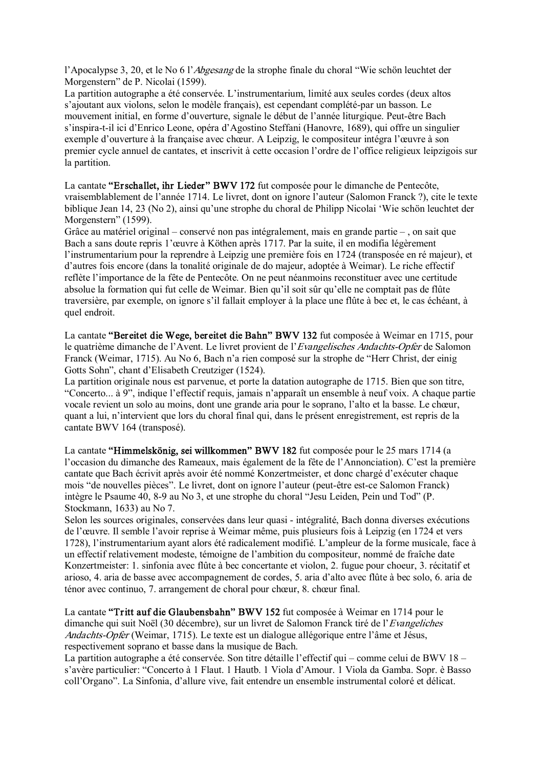l'Apocalypse 3, 20, et le No 6 l'Abgesang de la strophe finale du choral "Wie schön leuchtet der Morgenstern" de P. Nicolai (1599).

La partition autographe a été conservée. L'instrumentarium, limité aux seules cordes (deux altos s'ajoutant aux violons, selon le modèle français), est cependant complété-par un basson. Le mouvement initial, en forme d'ouverture, signale le début de l'année liturgique. Peutêtre Bach s'inspira-t-il ici d'Enrico Leone, opéra d'Agostino Steffani (Hanovre, 1689), qui offre un singulier exemple d'ouverture à la française avec chœur. A Leipzig, le compositeur intégra l'œuvre à son premier cycle annuel de cantates, et inscrivit à cette occasion l'ordre de l'office religieux leipzigois sur la partition.

La cantate "Erschallet, ihr Lieder" BWV 172 fut composée pour le dimanche de Pentecôte, vraisemblablement de l'année 1714. Le livret, dont on ignore l'auteur (Salomon Franck ?), cite le texte biblique Jean 14, 23 (No 2), ainsi qu'une strophe du choral de Philipp Nicolai 'Wie schön leuchtet der Morgenstern" (1599).

Grâce au matériel original – conservé non pas intégralement, mais en grande partie – , on sait que Bach a sans doute repris 1'œuvre à Köthen après 1717. Par la suite, il en modifia légèrement l'instrumentarium pour la reprendre à Leipzig une première fois en 1724 (transposée en ré majeur), et d'autres fois encore (dans la tonalité originale de do majeur, adoptée à Weimar). Le riche effectif reflète l'importance de la fête de Pentecôte. On ne peut néanmoins reconstituer avec une certitude absolue la formation qui fut celle de Weimar. Bien qu'il soit sûr qu'elle ne comptait pas de flûte traversière, par exemple, on ignore s'il fallait employer à la place une flûte à bec et, le cas échéant, à quel endroit.

La cantate "Bereitet die Wege, bereitet die Bahn" BWV 132 fut composée à Weimar en 1715, pour le quatrième dimanche de l'Avent. Le livret provient de l'*Evangelisches Andachts-Opfer* de Salomon Franck (Weimar, 1715). Au No 6, Bach n'a rien composé sur la strophe de "Herr Christ, der einig Gotts Sohn", chant d'Elisabeth Creutziger (1524).

La partition originale nous est parvenue, et porte la datation autographe de 1715. Bien que son titre, "Concerto... à 9", indique l'effectif requis, jamais n'apparaît un ensemble à neuf voix. A chaque partie vocale revient un solo au moins, dont une grande aria pour le soprano, l'alto et la basse. Le chœur, quant a lui, n'intervient que lors du choral final qui, dans le présent enregistrement, est repris de la cantate BWV 164 (transposé).

La cantate "Himmelskönig, sei willkommen" BWV 182 fut composée pour le 25 mars 1714 (a l'occasion du dimanche des Rameaux, mais également de la fête de l'Annonciation). C'est la première cantate que Bach écrivit après avoir été nommé Konzertmeister, et donc chargé d'exécuter chaque mois "de nouvelles pièces". Le livret, dont on ignore l'auteur (peut-être est-ce Salomon Franck) intègre le Psaume 40, 8-9 au No 3, et une strophe du choral "Jesu Leiden, Pein und Tod" (P. Stockmann, 1633) au No 7.

Selon les sources originales, conservées dans leur quasi - intégralité, Bach donna diverses exécutions de l'œuvre. Il semble l'avoir reprise à Weimar même, puis plusieurs fois à Leipzig (en 1724 et vers 1728), l'instrumentarium ayant alors été radicalement modifié. L'ampleur de la forme musicale, face à un effectif relativement modeste, témoigne de l'ambition du compositeur, nommé de fraîche date Konzertmeister: 1. sinfonia avec flûte à bec concertante et violon, 2. fugue pour choeur, 3. récitatif et arioso, 4. aria de basse avec accompagnement de cordes, 5. aria d'alto avec flûte à bec solo, 6. aria de ténor avec continuo, 7. arrangement de choral pour chœur, 8. chœur final.

La cantate "Tritt auf die Glaubensbahn" BWV 152 fut composée à Weimar en 1714 pour le dimanche qui suit Noël (30 décembre), sur un livret de Salomon Franck tiré de l'Evangeliches Andachts-Opfer (Weimar, 1715). Le texte est un dialogue allégorique entre l'âme et Jésus, respectivement soprano et basse dans la musique de Bach.

La partition autographe a été conservée. Son titre détaille l'effectif qui – comme celui de BWV 18 – s'avère particulier: "Concerto à 1 Flaut. 1 Hautb. 1 Viola d'Amour. 1 Viola da Gamba. Sopr. è Basso coll'Organo". La Sinfonia, d'allure vive, fait entendre un ensemble instrumental coloré et délicat.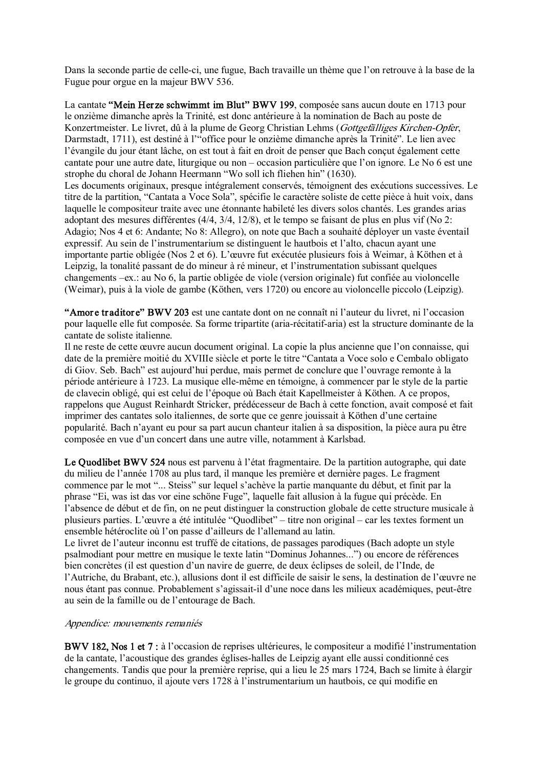Dans la seconde partie de celle-ci, une fugue, Bach travaille un thème que l'on retrouve à la base de la Fugue pour orgue en la majeur BWV 536.

La cantate "Mein Her ze schwimmt im Blut" BWV 199, composée sans aucun doute en 1713 pour le onzième dimanche après la Trinité, est donc antérieure à la nomination de Bach au poste de Konzertmeister. Le livret, dû à la plume de Georg Christian Lehms (Gottgefälliges Kirchen-Opfer, Darmstadt, 1711), est destiné à l'"office pour le onzième dimanche après la Trinité". Le lien avec l'évangile du jour étant lâche, on est tout à fait en droit de penser que Bach conçut également cette cantate pour une autre date, liturgique ou non – occasion particulière que l'on ignore. Le No 6 est une strophe du choral de Johann Heermann "Wo soll ich fliehen hin" (1630). Les documents originaux, presque intégralement conservés, témoignent des exécutions successives. Le titre de la partition, "Cantata a Voce Sola", spécifie le caractère soliste de cette pièce à huit voix, dans laquelle le compositeur traite avec une étonnante habileté les divers solos chantés. Les grandes arias adoptant des mesures différentes (4/4, 3/4, 12/8), et le tempo se faisant de plus en plus vif (No 2: Adagio; Nos 4 et 6: Andante; No 8: Allegro), on note que Bach a souhaité déployer un vaste éventail expressif. Au sein de l'instrumentarium se distinguent le hautbois et l'alto, chacun ayant une importante partie obligée (Nos 2 et 6). L'œuvre fut exécutée plusieurs fois à Weimar, à Köthen et à Leipzig, la tonalité passant de do mineur à ré mineur, et l'instrumentation subissant quelques changements –ex.: au No 6, la partie obligée de viole (version originale) fut confiée au violoncelle (Weimar), puis à la viole de gambe (Köthen, vers 1720) ou encore au violoncelle piccolo (Leipzig).

"Amore traditore" BWV 203 est une cantate dont on ne connaît ni l'auteur du livret, ni l'occasion pour laquelle elle fut composée. Sa forme tripartite (aria-récitatif-aria) est la structure dominante de la cantate de soliste italienne.

Il ne reste de cette œuvre aucun document original. La copie la plus ancienne que l'on connaisse, qui date de la première moitié du XVIIIe siècle et porte le titre "Cantata a Voce solo e Cembalo obligato di Giov. Seb. Bach" est aujourd'hui perdue, mais permet de conclure que l'ouvrage remonte à la période antérieure à 1723. La musique ellemême en témoigne, à commencer par le style de la partie de clavecin obligé, qui est celui de l'époque où Bach était Kapellmeister à Köthen. A ce propos, rappelons que August Reinhardt Stricker, prédécesseur de Bach à cette fonction, avait composé et fait imprimer des cantates solo italiennes, de sorte que ce genre jouissait à Köthen d'une certaine popularité. Bach n'ayant eu pour sa part aucun chanteur italien à sa disposition, la pièce aura pu être composée en vue d'un concert dans une autre ville, notamment à Karlsbad.

Le Quodlibet BWV 524 nous est parvenu à l'état fragmentaire. De la partition autographe, qui date du milieu de l'année 1708 au plus tard, il manque les première et dernière pages. Le fragment commence par le mot "... Steiss" sur lequel s'achève la partie manquante du début, et finit par la phrase "Ei, was ist das vor eine schöne Fuge", laquelle fait allusion à la fugue qui précède. En l'absence de début et de fin, on ne peut distinguer la construction globale de cette structure musicale à plusieurs parties. L'œuvre a été intitulée "Quodlibet" – titre non original – car les textes forment un ensemble hétéroclite où l'on passe d'ailleurs de l'allemand au latin.

Le livret de l'auteur inconnu est truffé de citations, de passages parodiques (Bach adopte un style psalmodiant pour mettre en musique le texte latin "Dominus Johannes...") ou encore de références bien concrètes (il est question d'un navire de guerre, de deux éclipses de soleil, de l'Inde, de l'Autriche, du Brabant, etc.), allusions dont il est difficile de saisir le sens, la destination de l'œuvre ne nous étant pas connue. Probablement s'agissait-il d'une noce dans les milieux académiques, peut-être au sein de la famille ou de l'entourage de Bach.

## Appendice: mouvements remaniés

BWV 182, Nos 1 et 7 : à l'occasion de reprises ultérieures, le compositeur a modifié l'instrumentation de la cantate, l'acoustique des grandes églises-halles de Leipzig ayant elle aussi conditionné ces changements. Tandis que pour la première reprise, qui a lieu le 25 mars 1724, Bach se limite à élargir le groupe du continuo, il ajoute vers 1728 à l'instrumentarium un hautbois, ce qui modifie en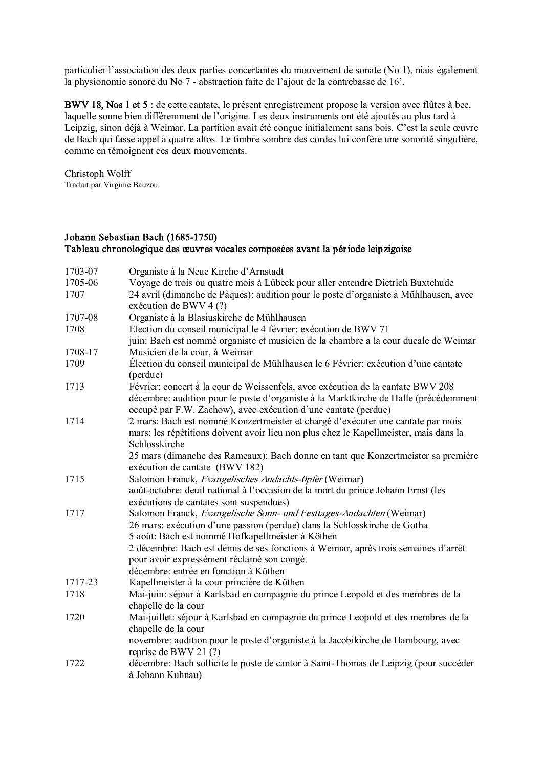particulier l'association des deux parties concertantes du mouvement de sonate (No 1), niais également la physionomie sonore du No 7 - abstraction faite de l'ajout de la contrebasse de 16'.

BWV 18, Nos 1 et 5 : de cette cantate, le présent enregistrement propose la version avec flûtes à bec, laquelle sonne bien différemment de l'origine. Les deux instruments ont été ajoutés au plus tard à Leipzig, sinon déjà à Weimar. La partition avait été conçue initialement sans bois. C'est la seule œuvre de Bach qui fasse appel à quatre altos. Le timbre sombre des cordes lui confère une sonorité singulière, comme en témoignent ces deux mouvements.

Christoph Wolff Traduit par Virginie Bauzou

## Johann Sebastian Bach (1685-1750) Tableau chronologique des œuvr es vocales composées avant la période leipzigoise

| 1703-07 | Organiste à la Neue Kirche d'Arnstadt                                                                                                                                                     |
|---------|-------------------------------------------------------------------------------------------------------------------------------------------------------------------------------------------|
| 1705-06 | Voyage de trois ou quatre mois à Lübeck pour aller entendre Dietrich Buxtehude                                                                                                            |
| 1707    | 24 avril (dimanche de Pàques): audition pour le poste d'organiste à Mühlhausen, avec<br>exécution de BWV 4 (?)                                                                            |
| 1707-08 | Organiste à la Blasiuskirche de Mühlhausen                                                                                                                                                |
| 1708    | Election du conseil municipal le 4 février: exécution de BWV 71                                                                                                                           |
|         | juin: Bach est nommé organiste et musicien de la chambre a la cour ducale de Weimar                                                                                                       |
| 1708-17 | Musicien de la cour, à Weimar                                                                                                                                                             |
| 1709    | Élection du conseil municipal de Mühlhausen le 6 Février: exécution d'une cantate<br>(perdue)                                                                                             |
| 1713    | Février: concert à la cour de Weissenfels, avec exécution de la cantate BWV 208                                                                                                           |
|         | décembre: audition pour le poste d'organiste à la Marktkirche de Halle (précédemment<br>occupé par F.W. Zachow), avec exécution d'une cantate (perdue)                                    |
| 1714    | 2 mars: Bach est nommé Konzertmeister et chargé d'exécuter une cantate par mois<br>mars: les répétitions doivent avoir lieu non plus chez le Kapellmeister, mais dans la<br>Schlosskirche |
|         | 25 mars (dimanche des Rameaux): Bach donne en tant que Konzertmeister sa première<br>exécution de cantate (BWV 182)                                                                       |
| 1715    | Salomon Franck, Evangelisches Andachts-Opfer (Weimar)                                                                                                                                     |
|         | août-octobre: deuil national à l'occasion de la mort du prince Johann Ernst (les<br>exécutions de cantates sont suspendues)                                                               |
| 1717    | Salomon Franck, Evangelische Sonn- und Festtages-Andachten (Weimar)                                                                                                                       |
|         | 26 mars: exécution d'une passion (perdue) dans la Schlosskirche de Gotha                                                                                                                  |
|         | 5 août: Bach est nommé Hofkapellmeister à Köthen                                                                                                                                          |
|         | 2 décembre: Bach est démis de ses fonctions à Weimar, après trois semaines d'arrêt                                                                                                        |
|         | pour avoir expressément réclamé son congé                                                                                                                                                 |
|         | décembre: entrée en fonction à Köthen                                                                                                                                                     |
| 1717-23 | Kapellmeister à la cour princière de Köthen                                                                                                                                               |
| 1718    | Mai-juin: séjour à Karlsbad en compagnie du prince Leopold et des membres de la<br>chapelle de la cour                                                                                    |
| 1720    | Mai-juillet: séjour à Karlsbad en compagnie du prince Leopold et des membres de la                                                                                                        |
|         | chapelle de la cour                                                                                                                                                                       |
|         | novembre: audition pour le poste d'organiste à la Jacobikirche de Hambourg, avec<br>reprise de BWV 21 (?)                                                                                 |
| 1722    | décembre: Bach sollicite le poste de cantor à Saint-Thomas de Leipzig (pour succéder                                                                                                      |
|         | à Johann Kuhnau)                                                                                                                                                                          |